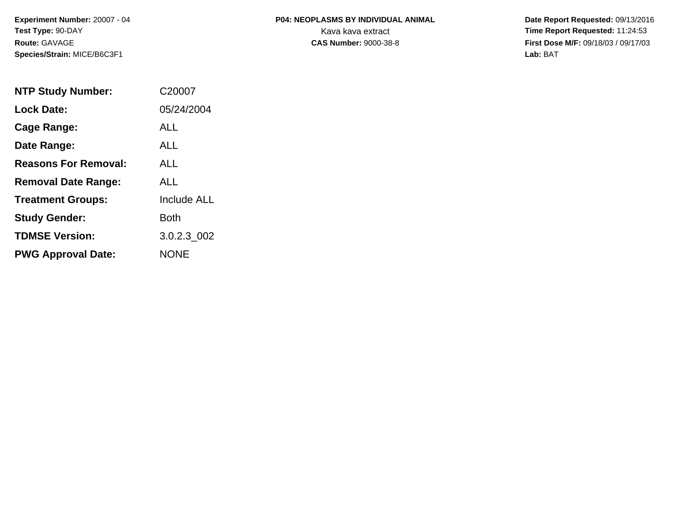# **P04: NEOPLASMS BY INDIVIDUAL ANIMAL**Kava kava extract **Time Report Requested:** 11:24:53<br>**CAS Number:** 9000-38-8 **Time Report Requested:** 11:24:53

 **Date Report Requested:** 09/13/2016 **First Dose M/F:** 09/18/03 / 09/17/03<br>Lab: BAT **Lab:** BAT

| <b>NTP Study Number:</b>    | C20007             |
|-----------------------------|--------------------|
| <b>Lock Date:</b>           | 05/24/2004         |
| Cage Range:                 | ALL                |
| Date Range:                 | <b>ALL</b>         |
| <b>Reasons For Removal:</b> | ALL                |
| <b>Removal Date Range:</b>  | ALL                |
| <b>Treatment Groups:</b>    | <b>Include ALL</b> |
| <b>Study Gender:</b>        | Both               |
| <b>TDMSE Version:</b>       | 3.0.2.3_002        |
| <b>PWG Approval Date:</b>   | NONE               |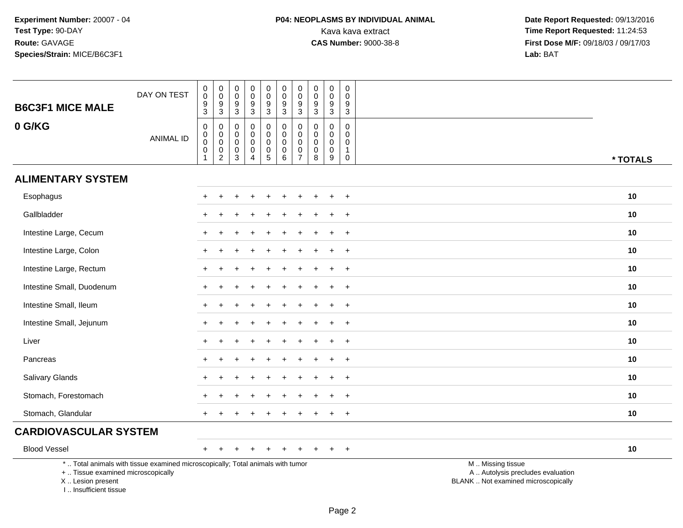| <b>B6C3F1 MICE MALE</b>                                                         | DAY ON TEST                                                                     | $\pmb{0}$<br>$\pmb{0}$<br>$\frac{9}{3}$                  | $\begin{smallmatrix} 0\\0 \end{smallmatrix}$<br>$\frac{9}{3}$    | 0<br>0<br>9<br>3                           | $\pmb{0}$<br>$\mathbf 0$<br>$9\,$<br>$\mathbf{3}$                | $\pmb{0}$<br>$\mathbf 0$<br>$\overline{9}$<br>$\mathbf{3}$ | $\pmb{0}$<br>$\mathbf 0$<br>$\boldsymbol{9}$<br>$\mathbf{3}$             | $\pmb{0}$<br>$\mathbf 0$<br>$\boldsymbol{9}$<br>3                              | $\pmb{0}$<br>$\mathbf 0$<br>$\frac{9}{3}$                     | $\mathbf 0$<br>$\mathbf 0$<br>$\boldsymbol{9}$<br>$\mathbf{3}$ | $\mathbf 0$<br>$\mathbf 0$<br>9<br>$\ensuremath{\mathsf{3}}$             |                                                                                               |
|---------------------------------------------------------------------------------|---------------------------------------------------------------------------------|----------------------------------------------------------|------------------------------------------------------------------|--------------------------------------------|------------------------------------------------------------------|------------------------------------------------------------|--------------------------------------------------------------------------|--------------------------------------------------------------------------------|---------------------------------------------------------------|----------------------------------------------------------------|--------------------------------------------------------------------------|-----------------------------------------------------------------------------------------------|
| 0 G/KG                                                                          | <b>ANIMAL ID</b>                                                                | $\pmb{0}$<br>$\overline{0}$<br>$\pmb{0}$<br>$\mathbf{1}$ | $\,0\,$<br>$\pmb{0}$<br>$\mathbf 0$<br>$\,0\,$<br>$\overline{2}$ | $\mathbf{0}$<br>0<br>$\mathbf 0$<br>0<br>3 | $\mathbf 0$<br>$\mathbf 0$<br>$\mathbf 0$<br>0<br>$\overline{4}$ | $\mathbf 0$<br>0<br>$\mathsf 0$<br>$\pmb{0}$<br>5          | $\pmb{0}$<br>$\mathbf 0$<br>$\mathbf 0$<br>$\mathbf 0$<br>$6\phantom{a}$ | $\mathbf 0$<br>$\mathsf{O}\xspace$<br>$\pmb{0}$<br>$\pmb{0}$<br>$\overline{7}$ | $\mathbf 0$<br>$\mathbf 0$<br>$\mathbf 0$<br>$\mathbf 0$<br>8 | $\mathbf 0$<br>$\mathbf 0$<br>$\mathbf 0$<br>0<br>$9\,$        | $\mathbf 0$<br>$\mathbf 0$<br>$\mathbf 0$<br>$\mathbf{1}$<br>$\mathbf 0$ | * TOTALS                                                                                      |
| <b>ALIMENTARY SYSTEM</b>                                                        |                                                                                 |                                                          |                                                                  |                                            |                                                                  |                                                            |                                                                          |                                                                                |                                                               |                                                                |                                                                          |                                                                                               |
| Esophagus                                                                       |                                                                                 |                                                          |                                                                  |                                            |                                                                  |                                                            |                                                                          |                                                                                |                                                               |                                                                | $\div$                                                                   | 10                                                                                            |
| Gallbladder                                                                     |                                                                                 |                                                          |                                                                  |                                            |                                                                  |                                                            |                                                                          |                                                                                |                                                               |                                                                | $\ddot{}$                                                                | 10                                                                                            |
| Intestine Large, Cecum                                                          |                                                                                 | $+$                                                      |                                                                  |                                            |                                                                  |                                                            |                                                                          |                                                                                |                                                               |                                                                | $+$                                                                      | 10                                                                                            |
| Intestine Large, Colon                                                          |                                                                                 | $\ddot{}$                                                |                                                                  |                                            |                                                                  |                                                            |                                                                          |                                                                                |                                                               | ÷.                                                             | $\overline{+}$                                                           | 10                                                                                            |
| Intestine Large, Rectum                                                         |                                                                                 |                                                          |                                                                  |                                            |                                                                  |                                                            |                                                                          |                                                                                |                                                               |                                                                | $\ddot{}$                                                                | 10                                                                                            |
| Intestine Small, Duodenum                                                       |                                                                                 |                                                          |                                                                  |                                            |                                                                  |                                                            |                                                                          |                                                                                |                                                               |                                                                | $\ddot{}$                                                                | 10                                                                                            |
| Intestine Small, Ileum                                                          |                                                                                 | $\pm$                                                    |                                                                  |                                            |                                                                  |                                                            |                                                                          |                                                                                |                                                               |                                                                | $+$                                                                      | 10                                                                                            |
| Intestine Small, Jejunum                                                        |                                                                                 |                                                          |                                                                  |                                            |                                                                  |                                                            |                                                                          |                                                                                |                                                               |                                                                | $\ddot{}$                                                                | 10                                                                                            |
| Liver                                                                           |                                                                                 |                                                          |                                                                  |                                            |                                                                  |                                                            |                                                                          |                                                                                |                                                               |                                                                | $\ddot{}$                                                                | 10                                                                                            |
| Pancreas                                                                        |                                                                                 | $+$                                                      |                                                                  |                                            |                                                                  |                                                            |                                                                          |                                                                                |                                                               | ÷                                                              | $+$                                                                      | 10                                                                                            |
| <b>Salivary Glands</b>                                                          |                                                                                 |                                                          |                                                                  |                                            |                                                                  |                                                            |                                                                          |                                                                                |                                                               |                                                                | $\ddot{}$                                                                | 10                                                                                            |
| Stomach, Forestomach                                                            |                                                                                 |                                                          |                                                                  |                                            |                                                                  |                                                            |                                                                          |                                                                                |                                                               |                                                                | $\div$                                                                   | 10                                                                                            |
| Stomach, Glandular                                                              |                                                                                 | $+$                                                      |                                                                  |                                            |                                                                  |                                                            |                                                                          |                                                                                |                                                               |                                                                | $+$                                                                      | 10                                                                                            |
| <b>CARDIOVASCULAR SYSTEM</b>                                                    |                                                                                 |                                                          |                                                                  |                                            |                                                                  |                                                            |                                                                          |                                                                                |                                                               |                                                                |                                                                          |                                                                                               |
| <b>Blood Vessel</b>                                                             |                                                                                 | $+$                                                      | $\div$                                                           | $\div$                                     | ÷                                                                | $\ddot{}$                                                  | $\ddot{}$                                                                | $\ddot{}$                                                                      | $\pm$                                                         | $\ddot{}$                                                      | $+$                                                                      | 10                                                                                            |
| +  Tissue examined microscopically<br>X Lesion present<br>I Insufficient tissue | *  Total animals with tissue examined microscopically; Total animals with tumor |                                                          |                                                                  |                                            |                                                                  |                                                            |                                                                          |                                                                                |                                                               |                                                                |                                                                          | M  Missing tissue<br>A  Autolysis precludes evaluation<br>BLANK  Not examined microscopically |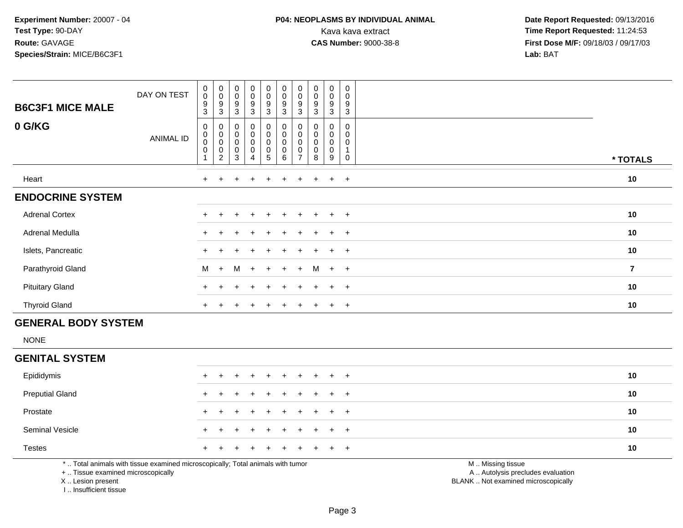# **P04: NEOPLASMS BY INDIVIDUAL ANIMAL**<br>Kava kava extract Kava kava extract **Time Report Requested:** 11:24:53<br>**CAS Number:** 9000-38-8 **Time Report Requested:** 11:24:53

 **Date Report Requested:** 09/13/2016 **First Dose M/F:** 09/18/03 / 09/17/03<br>**Lab:** BAT **Lab:** BAT

| <b>B6C3F1 MICE MALE</b> | DAY ON TEST      | $\pmb{0}$<br>$\mathbf 0$<br>$\boldsymbol{9}$<br>$\mathbf{3}$ | $\begin{smallmatrix} 0\\0 \end{smallmatrix}$<br>9<br>$\sqrt{3}$ | $\begin{smallmatrix} 0\\0 \end{smallmatrix}$<br>$\boldsymbol{9}$<br>3 | $\begin{smallmatrix}0\0\0\end{smallmatrix}$<br>$\boldsymbol{9}$<br>$\mathbf{3}$ | $_{\rm 0}^{\rm 0}$<br>9<br>3                         | $\begin{smallmatrix}0\\0\\9\end{smallmatrix}$<br>$\mathbf{3}$ | $\begin{smallmatrix} 0\\0 \end{smallmatrix}$<br>9<br>3     | $\begin{smallmatrix} 0\\0 \end{smallmatrix}$<br>$\boldsymbol{9}$<br>3 | $\pmb{0}$<br>$\mathsf{O}\xspace$<br>9<br>3 | 0<br>0<br>9<br>$\mathbf{3}$ |                         |
|-------------------------|------------------|--------------------------------------------------------------|-----------------------------------------------------------------|-----------------------------------------------------------------------|---------------------------------------------------------------------------------|------------------------------------------------------|---------------------------------------------------------------|------------------------------------------------------------|-----------------------------------------------------------------------|--------------------------------------------|-----------------------------|-------------------------|
| 0 G/KG                  | <b>ANIMAL ID</b> | 0<br>$\pmb{0}$<br>$\pmb{0}$<br>$\pmb{0}$                     | 0<br>$\pmb{0}$<br>$\pmb{0}$<br>$\pmb{0}$<br>$\overline{2}$      | 0<br>$\begin{smallmatrix}0\\0\end{smallmatrix}$<br>$\pmb{0}$<br>3     | $\begin{matrix} 0 \\ 0 \\ 0 \end{matrix}$<br>$\pmb{0}$<br>4                     | 0<br>0<br>0<br>$\begin{array}{c} 0 \\ 5 \end{array}$ | $\mathbf 0$<br>$_{\rm 0}^{\rm 0}$<br>$\pmb{0}$<br>$\,6\,$     | 0<br>$\pmb{0}$<br>$\pmb{0}$<br>$\pmb{0}$<br>$\overline{ }$ | 0<br>$\pmb{0}$<br>$\mathbf 0$<br>$\mathbf 0$<br>8                     | 0<br>$\pmb{0}$<br>$\pmb{0}$<br>0<br>9      | 0<br>0<br>0<br>0            | * TOTALS                |
| Heart                   |                  | $+$                                                          | $\ddot{}$                                                       | $+$                                                                   | $\pm$                                                                           | $+$                                                  | $+$                                                           | $\pm$                                                      | $+$                                                                   | $+$ $+$                                    |                             | 10                      |
| <b>ENDOCRINE SYSTEM</b> |                  |                                                              |                                                                 |                                                                       |                                                                                 |                                                      |                                                               |                                                            |                                                                       |                                            |                             |                         |
| <b>Adrenal Cortex</b>   |                  |                                                              |                                                                 |                                                                       |                                                                                 |                                                      |                                                               |                                                            |                                                                       | $+$                                        | $+$                         | 10                      |
| Adrenal Medulla         |                  |                                                              |                                                                 |                                                                       |                                                                                 |                                                      |                                                               |                                                            |                                                                       | $\ddot{}$                                  | $+$                         | 10                      |
| Islets, Pancreatic      |                  |                                                              |                                                                 |                                                                       | $\ddot{}$                                                                       | $+$                                                  | $\ddot{}$                                                     | $+$                                                        | $+$                                                                   | $+$                                        | $+$                         | 10                      |
| Parathyroid Gland       |                  | M                                                            | $+$                                                             | M                                                                     | $+$                                                                             | $+$                                                  | $+$                                                           | $+$                                                        | M                                                                     | $+$ $+$                                    |                             | $\overline{\mathbf{r}}$ |
| <b>Pituitary Gland</b>  |                  |                                                              |                                                                 |                                                                       | $\pm$                                                                           | $+$                                                  | $+$                                                           |                                                            |                                                                       | $+$                                        | $+$                         | 10                      |
| <b>Thyroid Gland</b>    |                  | $\pm$                                                        |                                                                 |                                                                       | $\div$                                                                          | ÷                                                    |                                                               |                                                            |                                                                       | $\pm$                                      | $+$                         | 10                      |

## **GENERAL BODY SYSTEM**

NONE

#### **GENITAL SYSTEM**

| Epididymis                                                                                                                                                                                                                    |  |  |  |  | + + + + + + + + + + |                                                                                                                                     | 10 |
|-------------------------------------------------------------------------------------------------------------------------------------------------------------------------------------------------------------------------------|--|--|--|--|---------------------|-------------------------------------------------------------------------------------------------------------------------------------|----|
| <b>Preputial Gland</b>                                                                                                                                                                                                        |  |  |  |  | + + + + + + + + + + |                                                                                                                                     | 10 |
| Prostate                                                                                                                                                                                                                      |  |  |  |  | + + + + + + + + + + |                                                                                                                                     | 10 |
| <b>Seminal Vesicle</b>                                                                                                                                                                                                        |  |  |  |  | + + + + + + + + + + |                                                                                                                                     | 10 |
| Testes                                                                                                                                                                                                                        |  |  |  |  | + + + + + + + + + + |                                                                                                                                     | 10 |
| . A semi-proposition of the contract of the contract of the contract of the contract of the contract of the contract of the contract of the contract of the contract of the contract of the contract of the contract of the c |  |  |  |  |                     | $\mathbf{a}$ and $\mathbf{a}$ and $\mathbf{a}$ and $\mathbf{a}$ and $\mathbf{a}$ and $\mathbf{a}$ and $\mathbf{a}$ and $\mathbf{a}$ |    |

\* .. Total animals with tissue examined microscopically; Total animals with tumor

+ .. Tissue examined microscopically

X .. Lesion present

I .. Insufficient tissue

M .. Missing tissue

y the contract of the contract of the contract of the contract of the contract of the contract of the contract of  $A$ . Autolysis precludes evaluation

Lesion present BLANK .. Not examined microscopically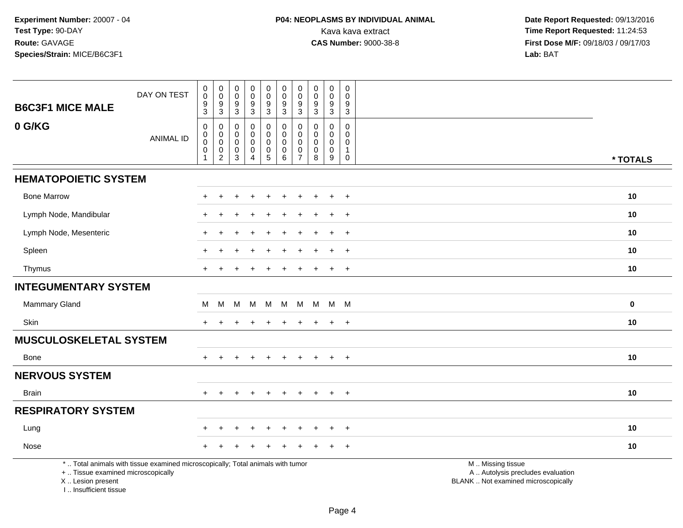I .. Insufficient tissue

| <b>B6C3F1 MICE MALE</b>                                 | DAY ON TEST                                                                     | $\pmb{0}$<br>$\pmb{0}$<br>$\boldsymbol{9}$<br>$\mathsf 3$                 | $\pmb{0}$<br>$\pmb{0}$<br>9<br>$\mathbf{3}$                    | $\pmb{0}$<br>$\mathbf 0$<br>$\boldsymbol{9}$<br>$\sqrt{3}$ | $_{\rm 0}^{\rm 0}$<br>$\boldsymbol{9}$<br>$\mathbf{3}$                   | $_{\rm 0}^{\rm 0}$<br>$\boldsymbol{9}$<br>$\sqrt{3}$                                     | $\pmb{0}$<br>$\mathbf 0$<br>$\boldsymbol{9}$<br>$\sqrt{3}$  | 0<br>$\mathbf 0$<br>9<br>3                          | $\pmb{0}$<br>0<br>$\boldsymbol{9}$<br>$\sqrt{3}$ | $\pmb{0}$<br>$\pmb{0}$<br>$\boldsymbol{9}$<br>$\mathbf{3}$                         | $\pmb{0}$<br>$\mathbf 0$<br>$\boldsymbol{9}$<br>$\sqrt{3}$                |                                                                                               |           |
|---------------------------------------------------------|---------------------------------------------------------------------------------|---------------------------------------------------------------------------|----------------------------------------------------------------|------------------------------------------------------------|--------------------------------------------------------------------------|------------------------------------------------------------------------------------------|-------------------------------------------------------------|-----------------------------------------------------|--------------------------------------------------|------------------------------------------------------------------------------------|---------------------------------------------------------------------------|-----------------------------------------------------------------------------------------------|-----------|
| 0 G/KG                                                  | <b>ANIMAL ID</b>                                                                | $\boldsymbol{0}$<br>$\pmb{0}$<br>$\mathbf 0$<br>$\pmb{0}$<br>$\mathbf{1}$ | 0<br>$\pmb{0}$<br>$\mathbf 0$<br>$\mathbf 0$<br>$\overline{2}$ | 0<br>$\mathbf 0$<br>$\mathbf 0$<br>0<br>$\mathbf{3}$       | $\mathbf 0$<br>$\mathbf 0$<br>$\mathbf 0$<br>$\pmb{0}$<br>$\overline{4}$ | 0<br>$\mathsf{O}\xspace$<br>$\mathsf{O}\xspace$<br>$\begin{array}{c} 0 \\ 5 \end{array}$ | $\mathbf 0$<br>$\mathbf 0$<br>$\mathbf 0$<br>$\pmb{0}$<br>6 | 0<br>$\mathbf 0$<br>$\Omega$<br>0<br>$\overline{7}$ | $\Omega$<br>$\Omega$<br>$\Omega$<br>0<br>8       | $\mathbf 0$<br>$\mathbf 0$<br>$\mathsf{O}\xspace$<br>$\pmb{0}$<br>$\boldsymbol{9}$ | $\mathbf 0$<br>$\mathbf{0}$<br>$\mathbf 0$<br>$\mathbf{1}$<br>$\mathbf 0$ |                                                                                               | * TOTALS  |
| <b>HEMATOPOIETIC SYSTEM</b>                             |                                                                                 |                                                                           |                                                                |                                                            |                                                                          |                                                                                          |                                                             |                                                     |                                                  |                                                                                    |                                                                           |                                                                                               |           |
| <b>Bone Marrow</b>                                      |                                                                                 |                                                                           | ÷                                                              |                                                            |                                                                          |                                                                                          |                                                             |                                                     |                                                  | $\ddot{}$                                                                          | $+$                                                                       |                                                                                               | 10        |
| Lymph Node, Mandibular                                  |                                                                                 |                                                                           |                                                                |                                                            |                                                                          |                                                                                          |                                                             |                                                     |                                                  | $\ddot{}$                                                                          | $+$                                                                       |                                                                                               | 10        |
| Lymph Node, Mesenteric                                  |                                                                                 |                                                                           |                                                                |                                                            |                                                                          |                                                                                          |                                                             |                                                     |                                                  |                                                                                    | $\overline{+}$                                                            |                                                                                               | 10        |
| Spleen                                                  |                                                                                 |                                                                           |                                                                |                                                            |                                                                          |                                                                                          |                                                             |                                                     |                                                  | $\ddot{}$                                                                          | $+$                                                                       |                                                                                               | 10        |
| Thymus                                                  |                                                                                 | $+$                                                                       |                                                                |                                                            | $\div$                                                                   | $\div$                                                                                   |                                                             |                                                     |                                                  | $\pm$                                                                              | $+$                                                                       |                                                                                               | 10        |
| <b>INTEGUMENTARY SYSTEM</b>                             |                                                                                 |                                                                           |                                                                |                                                            |                                                                          |                                                                                          |                                                             |                                                     |                                                  |                                                                                    |                                                                           |                                                                                               |           |
| <b>Mammary Gland</b>                                    |                                                                                 | M                                                                         | M                                                              | M                                                          | M M                                                                      |                                                                                          | M                                                           | M                                                   |                                                  | M M M                                                                              |                                                                           |                                                                                               | $\pmb{0}$ |
| Skin                                                    |                                                                                 | $+$                                                                       | $\ddot{}$                                                      | $\ddot{}$                                                  | $\ddot{}$                                                                | $\ddot{}$                                                                                | $\ddot{}$                                                   | $\ddot{}$                                           | $\pm$                                            | $+$                                                                                | $+$                                                                       |                                                                                               | 10        |
| <b>MUSCULOSKELETAL SYSTEM</b>                           |                                                                                 |                                                                           |                                                                |                                                            |                                                                          |                                                                                          |                                                             |                                                     |                                                  |                                                                                    |                                                                           |                                                                                               |           |
| Bone                                                    |                                                                                 | $\pm$                                                                     |                                                                |                                                            |                                                                          |                                                                                          |                                                             |                                                     |                                                  | $\ddot{}$                                                                          | $+$                                                                       |                                                                                               | 10        |
| <b>NERVOUS SYSTEM</b>                                   |                                                                                 |                                                                           |                                                                |                                                            |                                                                          |                                                                                          |                                                             |                                                     |                                                  |                                                                                    |                                                                           |                                                                                               |           |
| <b>Brain</b>                                            |                                                                                 | $\pm$                                                                     | $\ddot{}$                                                      | $\div$                                                     | $\ddot{}$                                                                | $\ddot{}$                                                                                | $\ddot{}$                                                   | $\pm$                                               | $\ddot{}$                                        | $+$                                                                                | $+$                                                                       |                                                                                               | 10        |
| <b>RESPIRATORY SYSTEM</b>                               |                                                                                 |                                                                           |                                                                |                                                            |                                                                          |                                                                                          |                                                             |                                                     |                                                  |                                                                                    |                                                                           |                                                                                               |           |
| Lung                                                    |                                                                                 |                                                                           |                                                                |                                                            |                                                                          |                                                                                          |                                                             |                                                     |                                                  |                                                                                    | $\ddot{}$                                                                 |                                                                                               | 10        |
| Nose                                                    |                                                                                 |                                                                           |                                                                |                                                            |                                                                          |                                                                                          |                                                             |                                                     |                                                  |                                                                                    | $+$                                                                       |                                                                                               | 10        |
| +  Tissue examined microscopically<br>X  Lesion present | *  Total animals with tissue examined microscopically; Total animals with tumor |                                                                           |                                                                |                                                            |                                                                          |                                                                                          |                                                             |                                                     |                                                  |                                                                                    |                                                                           | M  Missing tissue<br>A  Autolysis precludes evaluation<br>BLANK  Not examined microscopically |           |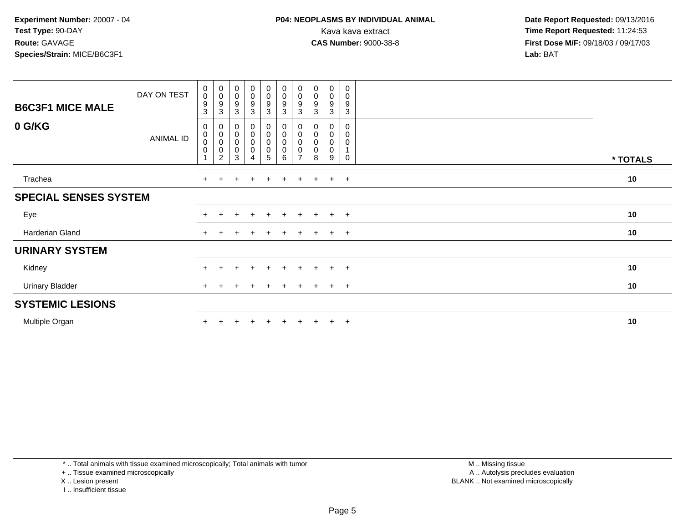| <b>B6C3F1 MICE MALE</b>      | DAY ON TEST      | $\begin{smallmatrix}0\\0\end{smallmatrix}$<br>$\boldsymbol{9}$<br>3 | $_{\rm 0}^{\rm 0}$<br>$\boldsymbol{9}$<br>3                               | $_{\rm 0}^{\rm 0}$<br>$\boldsymbol{9}$<br>$\mathbf{3}$      | $\begin{smallmatrix}0\0\0\9\end{smallmatrix}$<br>3                            | $\begin{smallmatrix} 0\\0 \end{smallmatrix}$<br>$\boldsymbol{9}$<br>$\mathbf{3}$ | $\begin{smallmatrix}0\0\0\end{smallmatrix}$<br>$\boldsymbol{9}$<br>3 | $_{\rm 0}^{\rm 0}$<br>9<br>3                           | $\begin{smallmatrix} 0\\0 \end{smallmatrix}$<br>$\boldsymbol{9}$<br>$\mathbf{3}$ | $\begin{smallmatrix} 0\\0 \end{smallmatrix}$<br>$\boldsymbol{9}$<br>3 | $\boldsymbol{0}$<br>$\boldsymbol{0}$<br>$\boldsymbol{9}$<br>$\sqrt{3}$ |          |
|------------------------------|------------------|---------------------------------------------------------------------|---------------------------------------------------------------------------|-------------------------------------------------------------|-------------------------------------------------------------------------------|----------------------------------------------------------------------------------|----------------------------------------------------------------------|--------------------------------------------------------|----------------------------------------------------------------------------------|-----------------------------------------------------------------------|------------------------------------------------------------------------|----------|
| 0 G/KG                       | <b>ANIMAL ID</b> | 0<br>$\pmb{0}$<br>0<br>$\pmb{0}$                                    | $\boldsymbol{0}$<br>$\pmb{0}$<br>$\pmb{0}$<br>$\pmb{0}$<br>$\overline{2}$ | $\pmb{0}$<br>$\begin{matrix} 0 \\ 0 \\ 0 \end{matrix}$<br>3 | $\begin{smallmatrix} 0\\0 \end{smallmatrix}$<br>$\mathbf 0$<br>$\pmb{0}$<br>4 | $\mathbf 0$<br>$\pmb{0}$<br>$\mathbf 0$<br>$\pmb{0}$<br>5                        | $\begin{smallmatrix}0\0\0\end{smallmatrix}$<br>0<br>0<br>6           | 0<br>0<br>$\mathbf 0$<br>$\mathbf 0$<br>$\overline{z}$ | 0<br>$_{\rm 0}^{\rm 0}$<br>$\pmb{0}$<br>8                                        | 0<br>$\pmb{0}$<br>$\pmb{0}$<br>0<br>9                                 | 0<br>$\pmb{0}$<br>$\mathbf 0$<br>$\mathbf{1}$<br>0                     | * TOTALS |
| Trachea                      |                  | $+$                                                                 | $+$                                                                       | ÷                                                           | $\ddot{}$                                                                     | $\pm$                                                                            | $\ddot{}$                                                            | $+$                                                    | $\div$                                                                           | $+$                                                                   | $+$                                                                    | 10       |
| <b>SPECIAL SENSES SYSTEM</b> |                  |                                                                     |                                                                           |                                                             |                                                                               |                                                                                  |                                                                      |                                                        |                                                                                  |                                                                       |                                                                        |          |
| Eye                          |                  | $+$                                                                 | $+$                                                                       | $\pm$                                                       | $+$                                                                           | $+$                                                                              | $+$                                                                  | $+$                                                    | $+$                                                                              | $+$                                                                   | $+$                                                                    | 10       |
| Harderian Gland              |                  | $+$                                                                 |                                                                           |                                                             |                                                                               |                                                                                  | $\div$                                                               | $+$                                                    | $+$                                                                              | $+$                                                                   | $+$                                                                    | 10       |
| <b>URINARY SYSTEM</b>        |                  |                                                                     |                                                                           |                                                             |                                                                               |                                                                                  |                                                                      |                                                        |                                                                                  |                                                                       |                                                                        |          |
| Kidney                       |                  | $+$                                                                 | $+$                                                                       | $\overline{+}$                                              | $+$                                                                           | $+$                                                                              | $+$                                                                  | $+$                                                    | $+$                                                                              | $+$                                                                   | $+$                                                                    | 10       |
| <b>Urinary Bladder</b>       |                  | $+$                                                                 | $\ddot{}$                                                                 | $\pm$                                                       | $\overline{+}$                                                                | $\pm$                                                                            | $\ddot{}$                                                            | $+$                                                    | $+$                                                                              | $+$                                                                   | $+$                                                                    | 10       |
| <b>SYSTEMIC LESIONS</b>      |                  |                                                                     |                                                                           |                                                             |                                                                               |                                                                                  |                                                                      |                                                        |                                                                                  |                                                                       |                                                                        |          |
| Multiple Organ               |                  |                                                                     |                                                                           |                                                             |                                                                               |                                                                                  |                                                                      |                                                        |                                                                                  | $+$                                                                   | $+$                                                                    | 10       |

\* .. Total animals with tissue examined microscopically; Total animals with tumor

+ .. Tissue examined microscopically

X .. Lesion present

I .. Insufficient tissue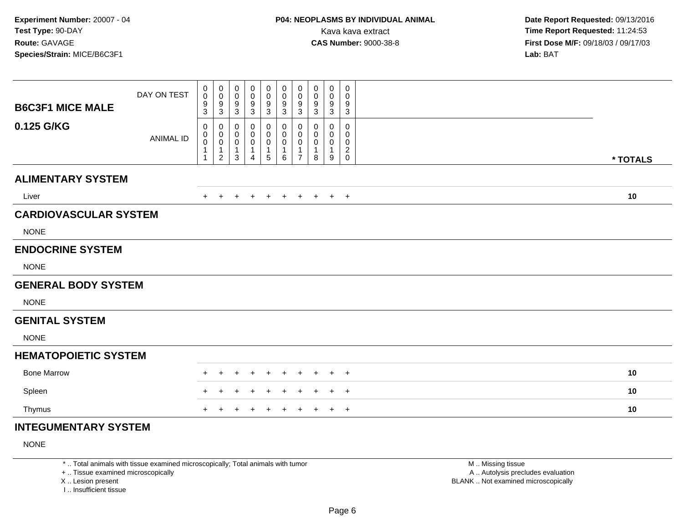| <b>B6C3F1 MICE MALE</b>      | DAY ON TEST      | 0<br>$\mathbf 0$<br>9           | $\pmb{0}$<br>$\mathbf 0$<br>$^9_3$                    | 0<br>$\mathbf 0$<br>9                            | 0<br>$\mathbf 0$<br>9                       | 0<br>$\mathbf 0$<br>$\boldsymbol{9}$ | $\pmb{0}$<br>$\pmb{0}$<br>$\boldsymbol{9}$ | 0<br>$\mathbf 0$<br>9                   | 0<br>0<br>9      | 0<br>0<br>9      | 0<br>0<br>9                        |          |
|------------------------------|------------------|---------------------------------|-------------------------------------------------------|--------------------------------------------------|---------------------------------------------|--------------------------------------|--------------------------------------------|-----------------------------------------|------------------|------------------|------------------------------------|----------|
| 0.125 G/KG                   | <b>ANIMAL ID</b> | 3<br>0<br>0<br>$\boldsymbol{0}$ | 0<br>$\begin{smallmatrix}0\0\0\end{smallmatrix}$<br>1 | $\sqrt{3}$<br>0<br>0<br>$\pmb{0}$<br>$\mathbf 1$ | $\sqrt{3}$<br>0<br>0<br>0<br>$\overline{1}$ | 3<br>0<br>0<br>$\pmb{0}$<br>1        | 3<br>0<br>0<br>$\pmb{0}$<br>1              | 3<br>0<br>$\mathbf 0$<br>$\pmb{0}$<br>1 | 3<br>0<br>0<br>0 | 3<br>0<br>0<br>0 | 3<br>0<br>0<br>0<br>$\overline{c}$ |          |
|                              |                  |                                 | $\overline{2}$                                        | $\mathbf{3}$                                     | $\overline{4}$                              | $\sqrt{5}$                           | 6                                          | $\overline{7}$                          | 8                | 9                | $\mathbf 0$                        | * TOTALS |
| <b>ALIMENTARY SYSTEM</b>     |                  |                                 |                                                       |                                                  |                                             |                                      |                                            |                                         |                  |                  |                                    |          |
| Liver                        |                  |                                 |                                                       |                                                  |                                             |                                      | $\pm$                                      | $\pm$                                   | $\pm$            | $+$              | $+$                                | 10       |
| <b>CARDIOVASCULAR SYSTEM</b> |                  |                                 |                                                       |                                                  |                                             |                                      |                                            |                                         |                  |                  |                                    |          |
| <b>NONE</b>                  |                  |                                 |                                                       |                                                  |                                             |                                      |                                            |                                         |                  |                  |                                    |          |
| <b>ENDOCRINE SYSTEM</b>      |                  |                                 |                                                       |                                                  |                                             |                                      |                                            |                                         |                  |                  |                                    |          |
| <b>NONE</b>                  |                  |                                 |                                                       |                                                  |                                             |                                      |                                            |                                         |                  |                  |                                    |          |
| <b>GENERAL BODY SYSTEM</b>   |                  |                                 |                                                       |                                                  |                                             |                                      |                                            |                                         |                  |                  |                                    |          |
| <b>NONE</b>                  |                  |                                 |                                                       |                                                  |                                             |                                      |                                            |                                         |                  |                  |                                    |          |
| <b>GENITAL SYSTEM</b>        |                  |                                 |                                                       |                                                  |                                             |                                      |                                            |                                         |                  |                  |                                    |          |
| <b>NONE</b>                  |                  |                                 |                                                       |                                                  |                                             |                                      |                                            |                                         |                  |                  |                                    |          |
| <b>HEMATOPOIETIC SYSTEM</b>  |                  |                                 |                                                       |                                                  |                                             |                                      |                                            |                                         |                  |                  |                                    |          |
| <b>Bone Marrow</b>           |                  |                                 |                                                       |                                                  |                                             |                                      |                                            |                                         |                  |                  | $^{+}$                             | 10       |
| Spleen                       |                  |                                 |                                                       |                                                  |                                             |                                      |                                            |                                         |                  |                  | $+$                                | 10       |
| Thymus                       |                  |                                 |                                                       |                                                  |                                             |                                      |                                            |                                         |                  |                  | $+$                                | 10       |
| INITECHMENITA DV CVCTEM      |                  |                                 |                                                       |                                                  |                                             |                                      |                                            |                                         |                  |                  |                                    |          |

## **INTEGUMENTARY SYSTEM**

NONE

\* .. Total animals with tissue examined microscopically; Total animals with tumor

+ .. Tissue examined microscopically

X .. Lesion present

I .. Insufficient tissue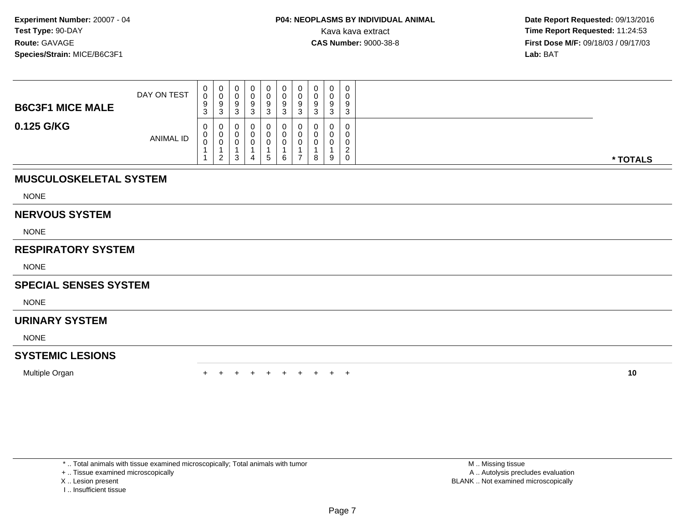| <b>B6C3F1 MICE MALE</b> | DAY ON TEST      | 0<br>0<br>9<br>$\sim$<br>J. | U<br>ົ<br>ت | ັ | 0<br>9    | U<br>U<br>9 | υ<br>Q<br>J<br>J |   | $\cap$<br>9 | $\mathbf{0}$<br>0<br>9<br>3       |          |
|-------------------------|------------------|-----------------------------|-------------|---|-----------|-------------|------------------|---|-------------|-----------------------------------|----------|
| 0.125 G/KG              | <b>ANIMAL ID</b> | 0<br>0<br>0                 | ົາ          | ت | 0<br>. ჯე | U<br>U<br>6 | –                | 8 | 9           | 0<br>0<br>0<br>ົ<br><u>_</u><br>0 | * TOTALS |

# **MUSCULOSKELETAL SYSTEM**

NONE

#### **NERVOUS SYSTEM**

NONE

## **RESPIRATORY SYSTEM**

NONE

## **SPECIAL SENSES SYSTEM**

NONE

## **URINARY SYSTEM**

NONE

## **SYSTEMIC LESIONS**

Multiple Organn  $+$ 

<sup>+</sup> <sup>+</sup> <sup>+</sup> <sup>+</sup> <sup>+</sup> <sup>+</sup> <sup>+</sup> <sup>+</sup> <sup>+</sup> **<sup>10</sup>**

\* .. Total animals with tissue examined microscopically; Total animals with tumor

+ .. Tissue examined microscopically

- X .. Lesion present
- I .. Insufficient tissue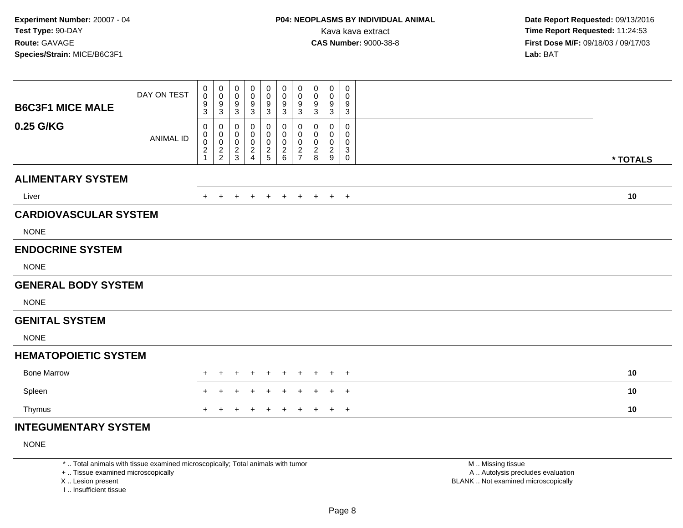| <b>B6C3F1 MICE MALE</b>      | DAY ON TEST      | 0<br>$\boldsymbol{0}$<br>9                   | $\pmb{0}$<br>$\mathbf 0$<br>$^9_3$ | 0<br>$\mathbf 0$<br>9                                | 0<br>$\mathbf 0$<br>9                                | 0<br>$\mathbf 0$<br>$\boldsymbol{9}$      | $\pmb{0}$<br>$\pmb{0}$<br>$\boldsymbol{9}$       | 0<br>$\mathbf 0$<br>9                                                    | 0<br>0<br>9                | $\mathbf 0$<br>0<br>9                              | 0<br>0<br>9                          |          |
|------------------------------|------------------|----------------------------------------------|------------------------------------|------------------------------------------------------|------------------------------------------------------|-------------------------------------------|--------------------------------------------------|--------------------------------------------------------------------------|----------------------------|----------------------------------------------------|--------------------------------------|----------|
| 0.25 G/KG                    | <b>ANIMAL ID</b> | 3<br>0<br>0<br>$\mathbf 0$<br>$\overline{c}$ | 0<br>$_0^0$<br>$\frac{2}{2}$       | $\sqrt{3}$<br>0<br>0<br>$\mathbf 0$<br>$\frac{2}{3}$ | $\sqrt{3}$<br>$\mathbf 0$<br>0<br>0<br>$\frac{2}{4}$ | 3<br>0<br>0<br>$\pmb{0}$<br>$\frac{2}{5}$ | 3<br>0<br>0<br>$\boldsymbol{0}$<br>$\frac{2}{6}$ | 3<br>0<br>$\mathbf 0$<br>$\mathbf 0$<br>$\overline{c}$<br>$\overline{7}$ | 3<br>0<br>0<br>0<br>2<br>8 | $\mathbf{3}$<br>0<br>0<br>0<br>$\overline{c}$<br>9 | 3<br>0<br>0<br>0<br>3<br>$\mathbf 0$ | * TOTALS |
| <b>ALIMENTARY SYSTEM</b>     |                  |                                              |                                    |                                                      |                                                      |                                           |                                                  |                                                                          |                            |                                                    |                                      |          |
| Liver                        |                  |                                              |                                    |                                                      |                                                      |                                           | $\pm$                                            |                                                                          | $\pm$                      | $+$                                                | $+$                                  | 10       |
| <b>CARDIOVASCULAR SYSTEM</b> |                  |                                              |                                    |                                                      |                                                      |                                           |                                                  |                                                                          |                            |                                                    |                                      |          |
| <b>NONE</b>                  |                  |                                              |                                    |                                                      |                                                      |                                           |                                                  |                                                                          |                            |                                                    |                                      |          |
| <b>ENDOCRINE SYSTEM</b>      |                  |                                              |                                    |                                                      |                                                      |                                           |                                                  |                                                                          |                            |                                                    |                                      |          |
| <b>NONE</b>                  |                  |                                              |                                    |                                                      |                                                      |                                           |                                                  |                                                                          |                            |                                                    |                                      |          |
| <b>GENERAL BODY SYSTEM</b>   |                  |                                              |                                    |                                                      |                                                      |                                           |                                                  |                                                                          |                            |                                                    |                                      |          |
| <b>NONE</b>                  |                  |                                              |                                    |                                                      |                                                      |                                           |                                                  |                                                                          |                            |                                                    |                                      |          |
| <b>GENITAL SYSTEM</b>        |                  |                                              |                                    |                                                      |                                                      |                                           |                                                  |                                                                          |                            |                                                    |                                      |          |
| <b>NONE</b>                  |                  |                                              |                                    |                                                      |                                                      |                                           |                                                  |                                                                          |                            |                                                    |                                      |          |
| <b>HEMATOPOIETIC SYSTEM</b>  |                  |                                              |                                    |                                                      |                                                      |                                           |                                                  |                                                                          |                            |                                                    |                                      |          |
| <b>Bone Marrow</b>           |                  |                                              |                                    |                                                      |                                                      |                                           |                                                  |                                                                          |                            |                                                    | $^+$                                 | 10       |
| Spleen                       |                  |                                              |                                    |                                                      |                                                      |                                           |                                                  |                                                                          |                            |                                                    | $^{+}$                               | 10       |
| Thymus                       |                  | ÷.                                           |                                    |                                                      |                                                      |                                           |                                                  |                                                                          |                            |                                                    | $\overline{+}$                       | 10       |
| INITEOUMENTADV CVCTEM        |                  |                                              |                                    |                                                      |                                                      |                                           |                                                  |                                                                          |                            |                                                    |                                      |          |

## **INTEGUMENTARY SYSTEM**

NONE

\* .. Total animals with tissue examined microscopically; Total animals with tumor

+ .. Tissue examined microscopically

X .. Lesion present

I .. Insufficient tissue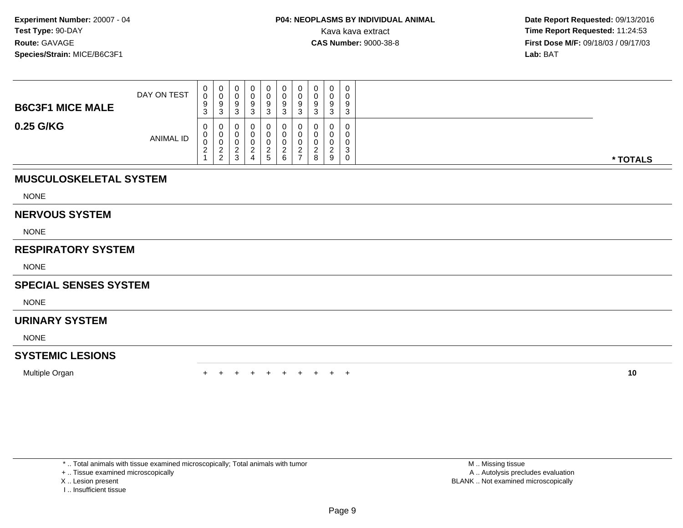| <b>B6C3F1 MICE MALE</b> | DAY ON TEST      | 0<br>0<br>9<br>$\sim$<br><b>ن</b>         | v<br>◡<br>3 | ັ | . ರ | 9                             | υ<br>U<br>9<br>C. | $\Omega$<br>◡<br>ົ |   | $\cap$<br>9 | $\mathbf 0$<br>0<br>9<br>3                 |          |
|-------------------------|------------------|-------------------------------------------|-------------|---|-----|-------------------------------|-------------------|--------------------|---|-------------|--------------------------------------------|----------|
| 0.25 G/KG               | <b>ANIMAL ID</b> | 0<br>U<br>U<br><sup>o</sup><br>$\epsilon$ | c<br>າ      | د |     | $\overline{ }$<br>$5^{\circ}$ | 6                 | ົ<br>$\rightarrow$ | 8 | ົ<br>ے<br>9 | 0<br>$\mathbf{0}$<br>0<br>3<br>$\mathbf 0$ | * TOTALS |

# **MUSCULOSKELETAL SYSTEM**

NONE

#### **NERVOUS SYSTEM**

NONE

## **RESPIRATORY SYSTEM**

NONE

## **SPECIAL SENSES SYSTEM**

NONE

## **URINARY SYSTEM**

NONE

## **SYSTEMIC LESIONS**

Multiple Organn  $+$ 

<sup>+</sup> <sup>+</sup> <sup>+</sup> <sup>+</sup> <sup>+</sup> <sup>+</sup> <sup>+</sup> <sup>+</sup> <sup>+</sup> **<sup>10</sup>**

\* .. Total animals with tissue examined microscopically; Total animals with tumor

+ .. Tissue examined microscopically

- X .. Lesion present
- I .. Insufficient tissue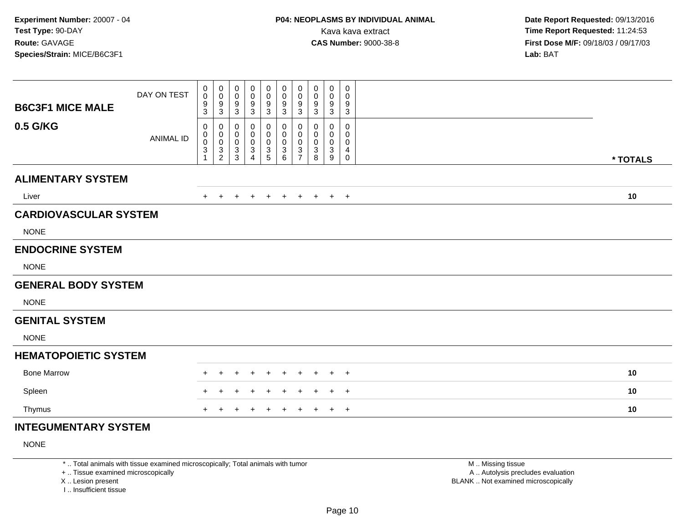| <b>B6C3F1 MICE MALE</b>      | DAY ON TEST      | 0<br>$\mathbf 0$<br>9                | $\pmb{0}$<br>$\mathbf 0$<br>$^9_3$                                        | 0<br>$\mathbf 0$<br>9                                             | 0<br>$\mathbf 0$<br>9                                     | 0<br>$\mathbf 0$<br>9                       | $\pmb{0}$<br>$\pmb{0}$<br>$\boldsymbol{9}$   | 0<br>$\mathbf 0$<br>9                                                             | 0<br>0<br>9                | 0<br>0<br>9                           | 0<br>0<br>9                |          |
|------------------------------|------------------|--------------------------------------|---------------------------------------------------------------------------|-------------------------------------------------------------------|-----------------------------------------------------------|---------------------------------------------|----------------------------------------------|-----------------------------------------------------------------------------------|----------------------------|---------------------------------------|----------------------------|----------|
| 0.5 G/KG                     | <b>ANIMAL ID</b> | 3<br>0<br>0<br>$\boldsymbol{0}$<br>3 | 0<br>$\pmb{0}$<br>$\ddot{\mathbf{0}}$<br>$\overline{3}$<br>$\overline{2}$ | $\sqrt{3}$<br>0<br>0<br>$\mathbf 0$<br>$\sqrt{3}$<br>$\mathbf{3}$ | $\sqrt{3}$<br>0<br>0<br>0<br>$\sqrt{3}$<br>$\overline{4}$ | 3<br>0<br>0<br>$\pmb{0}$<br>$\sqrt{3}$<br>5 | 3<br>0<br>0<br>$\pmb{0}$<br>$\mathsf 3$<br>6 | 3<br>0<br>$\mathbf 0$<br>$\pmb{0}$<br>$\ensuremath{\mathsf{3}}$<br>$\overline{7}$ | 3<br>0<br>0<br>0<br>3<br>8 | $\mathbf{3}$<br>0<br>0<br>0<br>3<br>9 | 3<br>0<br>0<br>0<br>4<br>0 | * TOTALS |
| <b>ALIMENTARY SYSTEM</b>     |                  |                                      |                                                                           |                                                                   |                                                           |                                             |                                              |                                                                                   |                            |                                       |                            |          |
| Liver                        |                  |                                      |                                                                           |                                                                   |                                                           |                                             | $\pm$                                        | $\pm$                                                                             | $\pm$                      | $+$                                   | $+$                        | 10       |
| <b>CARDIOVASCULAR SYSTEM</b> |                  |                                      |                                                                           |                                                                   |                                                           |                                             |                                              |                                                                                   |                            |                                       |                            |          |
| <b>NONE</b>                  |                  |                                      |                                                                           |                                                                   |                                                           |                                             |                                              |                                                                                   |                            |                                       |                            |          |
| <b>ENDOCRINE SYSTEM</b>      |                  |                                      |                                                                           |                                                                   |                                                           |                                             |                                              |                                                                                   |                            |                                       |                            |          |
| <b>NONE</b>                  |                  |                                      |                                                                           |                                                                   |                                                           |                                             |                                              |                                                                                   |                            |                                       |                            |          |
| <b>GENERAL BODY SYSTEM</b>   |                  |                                      |                                                                           |                                                                   |                                                           |                                             |                                              |                                                                                   |                            |                                       |                            |          |
| <b>NONE</b>                  |                  |                                      |                                                                           |                                                                   |                                                           |                                             |                                              |                                                                                   |                            |                                       |                            |          |
| <b>GENITAL SYSTEM</b>        |                  |                                      |                                                                           |                                                                   |                                                           |                                             |                                              |                                                                                   |                            |                                       |                            |          |
| <b>NONE</b>                  |                  |                                      |                                                                           |                                                                   |                                                           |                                             |                                              |                                                                                   |                            |                                       |                            |          |
| <b>HEMATOPOIETIC SYSTEM</b>  |                  |                                      |                                                                           |                                                                   |                                                           |                                             |                                              |                                                                                   |                            |                                       |                            |          |
| <b>Bone Marrow</b>           |                  |                                      |                                                                           |                                                                   |                                                           |                                             |                                              |                                                                                   |                            |                                       | $^{+}$                     | 10       |
| Spleen                       |                  |                                      |                                                                           |                                                                   |                                                           |                                             |                                              |                                                                                   |                            |                                       | $+$                        | 10       |
| Thymus                       |                  |                                      |                                                                           |                                                                   |                                                           |                                             |                                              |                                                                                   |                            |                                       | $+$                        | 10       |
| INITECHMENITA DV CVCTEM      |                  |                                      |                                                                           |                                                                   |                                                           |                                             |                                              |                                                                                   |                            |                                       |                            |          |

## **INTEGUMENTARY SYSTEM**

NONE

\* .. Total animals with tissue examined microscopically; Total animals with tumor

+ .. Tissue examined microscopically

X .. Lesion present

I .. Insufficient tissue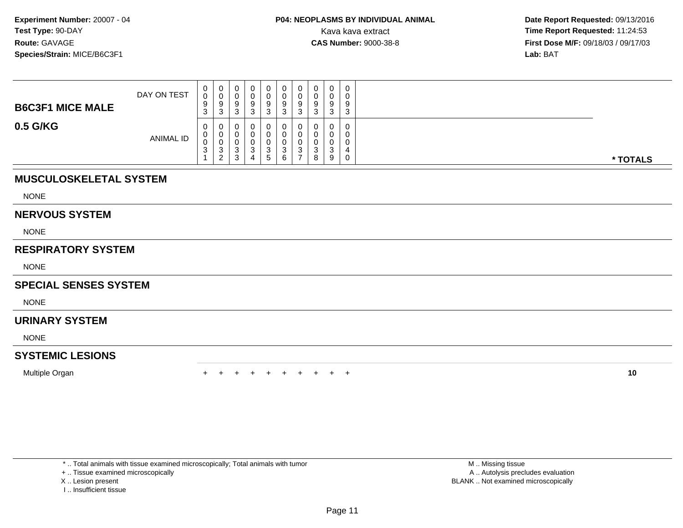| <b>B6C3F1 MICE MALE</b> | DAY ON TEST      | 0<br>0<br>9<br>ົ<br>ັ                 | U<br>. ರ | 0<br>u<br>9<br>◠<br>J.     | a<br>c | 3         | 0<br>0<br>9<br>ົ<br>ບ           | $\Omega$ | ັບ<br>ν<br>9<br>◠<br>w | 9<br>◠          | 0<br>0<br>9<br>3                          |          |
|-------------------------|------------------|---------------------------------------|----------|----------------------------|--------|-----------|---------------------------------|----------|------------------------|-----------------|-------------------------------------------|----------|
| 0.5 G/KG                | <b>ANIMAL ID</b> | $\mathbf{0}$<br>0<br>0<br>$\sim$<br>◡ | v<br>ر-  | ν<br>υ<br>ν<br>◠<br>ۍ<br>3 | 4      | 3<br>. ჯე | 0<br>0<br>0<br>$\sim$<br>ບ<br>6 |          | u<br>U<br>⌒<br>w<br>8  | $\sqrt{2}$<br>9 | 0<br>0<br>$\mathbf 0$<br>4<br>$\mathbf 0$ | * TOTALS |

# **MUSCULOSKELETAL SYSTEM**

NONE

#### **NERVOUS SYSTEM**

NONE

## **RESPIRATORY SYSTEM**

NONE

## **SPECIAL SENSES SYSTEM**

NONE

## **URINARY SYSTEM**

NONE

## **SYSTEMIC LESIONS**

Multiple Organn  $+$ 

<sup>+</sup> <sup>+</sup> <sup>+</sup> <sup>+</sup> <sup>+</sup> <sup>+</sup> <sup>+</sup> <sup>+</sup> <sup>+</sup> **<sup>10</sup>**

\* .. Total animals with tissue examined microscopically; Total animals with tumor

+ .. Tissue examined microscopically

- X .. Lesion present
- I .. Insufficient tissue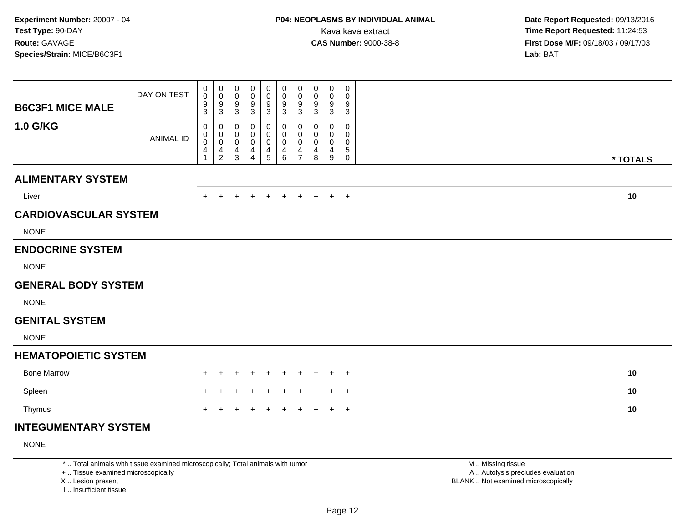| <b>B6C3F1 MICE MALE</b>      | DAY ON TEST      | 0<br>$\boldsymbol{0}$<br>$\boldsymbol{9}$ | $\pmb{0}$<br>$\mathbf 0$<br>$^9_3$                                                   | 0<br>$\mathbf 0$<br>9                                                 | 0<br>$\mathbf 0$<br>9                                                    | 0<br>$\mathbf 0$<br>9                | $\pmb{0}$<br>$\pmb{0}$<br>$\boldsymbol{9}$ | 0<br>$\mathbf 0$<br>9                                       | 0<br>0<br>9                | $\mathbf 0$<br>0<br>9                        | 0<br>0<br>9                |          |
|------------------------------|------------------|-------------------------------------------|--------------------------------------------------------------------------------------|-----------------------------------------------------------------------|--------------------------------------------------------------------------|--------------------------------------|--------------------------------------------|-------------------------------------------------------------|----------------------------|----------------------------------------------|----------------------------|----------|
| 1.0 G/KG                     | <b>ANIMAL ID</b> | 3<br>0<br>0<br>$\mathbf 0$<br>4           | 0<br>$\begin{smallmatrix}0\0\0\end{smallmatrix}$<br>$\overline{4}$<br>$\overline{2}$ | $\sqrt{3}$<br>0<br>0<br>$\mathbf 0$<br>$\overline{4}$<br>$\mathbf{3}$ | $\sqrt{3}$<br>$\mathbf{0}$<br>0<br>$\overline{0}$<br>4<br>$\overline{4}$ | 3<br>0<br>0<br>$\mathbf 0$<br>4<br>5 | 3<br>0<br>0<br>0<br>4<br>6                 | 3<br>0<br>$\mathbf 0$<br>$\mathbf 0$<br>4<br>$\overline{7}$ | 3<br>0<br>0<br>0<br>4<br>8 | $\mathbf{3}$<br>$\Omega$<br>0<br>0<br>4<br>9 | 3<br>0<br>0<br>0<br>5<br>0 | * TOTALS |
| <b>ALIMENTARY SYSTEM</b>     |                  |                                           |                                                                                      |                                                                       |                                                                          |                                      |                                            |                                                             |                            |                                              |                            |          |
| Liver                        |                  |                                           |                                                                                      |                                                                       |                                                                          |                                      | $\pm$                                      | $\pm$                                                       | $\pm$                      | $+$                                          | $+$                        | 10       |
| <b>CARDIOVASCULAR SYSTEM</b> |                  |                                           |                                                                                      |                                                                       |                                                                          |                                      |                                            |                                                             |                            |                                              |                            |          |
| <b>NONE</b>                  |                  |                                           |                                                                                      |                                                                       |                                                                          |                                      |                                            |                                                             |                            |                                              |                            |          |
| <b>ENDOCRINE SYSTEM</b>      |                  |                                           |                                                                                      |                                                                       |                                                                          |                                      |                                            |                                                             |                            |                                              |                            |          |
| <b>NONE</b>                  |                  |                                           |                                                                                      |                                                                       |                                                                          |                                      |                                            |                                                             |                            |                                              |                            |          |
| <b>GENERAL BODY SYSTEM</b>   |                  |                                           |                                                                                      |                                                                       |                                                                          |                                      |                                            |                                                             |                            |                                              |                            |          |
| <b>NONE</b>                  |                  |                                           |                                                                                      |                                                                       |                                                                          |                                      |                                            |                                                             |                            |                                              |                            |          |
| <b>GENITAL SYSTEM</b>        |                  |                                           |                                                                                      |                                                                       |                                                                          |                                      |                                            |                                                             |                            |                                              |                            |          |
| <b>NONE</b>                  |                  |                                           |                                                                                      |                                                                       |                                                                          |                                      |                                            |                                                             |                            |                                              |                            |          |
| <b>HEMATOPOIETIC SYSTEM</b>  |                  |                                           |                                                                                      |                                                                       |                                                                          |                                      |                                            |                                                             |                            |                                              |                            |          |
| <b>Bone Marrow</b>           |                  |                                           |                                                                                      |                                                                       |                                                                          |                                      |                                            |                                                             |                            |                                              | $^{+}$                     | 10       |
| Spleen                       |                  |                                           |                                                                                      |                                                                       |                                                                          |                                      |                                            |                                                             |                            |                                              | $\overline{ }$             | 10       |
| Thymus                       |                  | ÷.                                        |                                                                                      |                                                                       |                                                                          |                                      |                                            |                                                             |                            |                                              | $+$                        | 10       |
| INITEQUIMENITA DV QVOTEM     |                  |                                           |                                                                                      |                                                                       |                                                                          |                                      |                                            |                                                             |                            |                                              |                            |          |

## **INTEGUMENTARY SYSTEM**

NONE

\* .. Total animals with tissue examined microscopically; Total animals with tumor

+ .. Tissue examined microscopically

X .. Lesion present

I .. Insufficient tissue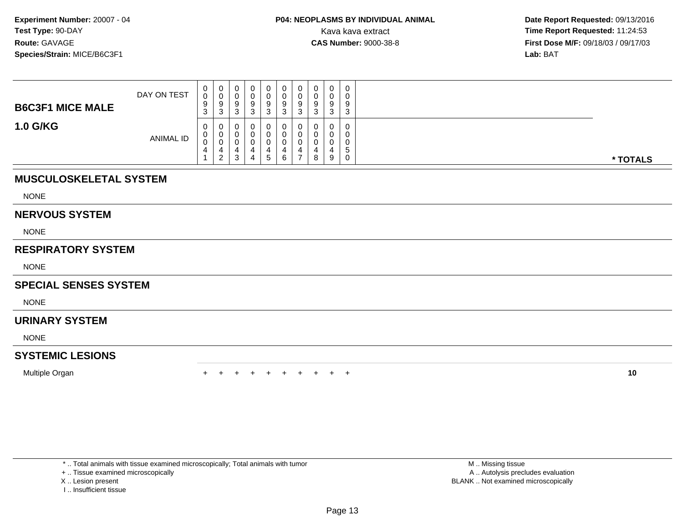| <b>B6C3F1 MICE MALE</b> | DAY ON TEST      | $\mathbf{0}$<br>0<br>9<br>ົ<br>◡ | U<br>. ರ           | 0<br>ν<br>9<br>◠<br>د | 9 | $\Omega$<br>◡<br>3 | 0<br>0<br>9<br>ົ<br>ື  | $\Omega$<br>J | 0<br>ັບ<br>9<br>◠<br>J | 9<br>◠ | 0<br>0<br>9<br>3                 |          |
|-------------------------|------------------|----------------------------------|--------------------|-----------------------|---|--------------------|------------------------|---------------|------------------------|--------|----------------------------------|----------|
| <b>1.0 G/KG</b>         | <b>ANIMAL ID</b> | $\mathbf{0}$<br>0<br>0           | $\mathcal{D}$<br>∠ | υ<br>U<br>υ<br>3      |   | .5                 | 0<br>0<br>0<br>д.<br>6 | 4             | u<br>8                 | 9      | $\mathbf 0$<br>0<br>0<br>.5<br>0 | * TOTALS |

# **MUSCULOSKELETAL SYSTEM**

NONE

#### **NERVOUS SYSTEM**

NONE

## **RESPIRATORY SYSTEM**

NONE

## **SPECIAL SENSES SYSTEM**

NONE

## **URINARY SYSTEM**

NONE

## **SYSTEMIC LESIONS**

Multiple Organn  $+$ 

<sup>+</sup> <sup>+</sup> <sup>+</sup> <sup>+</sup> <sup>+</sup> <sup>+</sup> <sup>+</sup> <sup>+</sup> <sup>+</sup> **<sup>10</sup>**

\* .. Total animals with tissue examined microscopically; Total animals with tumor

+ .. Tissue examined microscopically

- X .. Lesion present
- I .. Insufficient tissue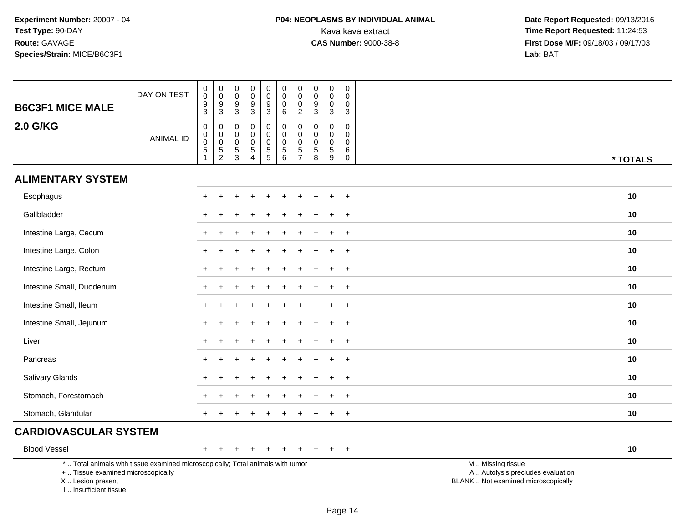# **P04: NEOPLASMS BY INDIVIDUAL ANIMAL**Kava kava extract **Time Report Requested:** 11:24:53<br>**CAS Number:** 9000-38-8 **Time Report Requested:** 11:24:53

 **Date Report Requested:** 09/13/2016 **First Dose M/F:** 09/18/03 / 09/17/03<br>Lab: BAT **Lab:** BAT

| <b>B6C3F1 MICE MALE</b>                                                           | DAY ON TEST                                                                     | $\pmb{0}$<br>$\overline{0}$<br>$\frac{9}{3}$                     | $\pmb{0}$<br>$\overline{0}$<br>9<br>$\overline{3}$             | $\mathbf 0$<br>$\mathbf 0$<br>$\frac{9}{3}$     | $\pmb{0}$<br>$\ddot{\mathbf{0}}$<br>$\frac{9}{3}$                         | $\mathsf{O}\xspace$<br>$\ddot{\mathbf{0}}$<br>$\frac{9}{3}$ | $\pmb{0}$<br>$\overline{0}$<br>$\pmb{0}$<br>$\,6\,$          | $\mathbf 0$<br>$\mathbf 0$<br>$\mathbf 0$<br>$\overline{2}$ | 0<br>$\pmb{0}$<br>9<br>$\overline{3}$ | $\pmb{0}$<br>$\ddot{\mathbf{0}}$<br>$\pmb{0}$<br>$\overline{3}$ | 0<br>$\Omega$<br>0<br>$\mathbf{3}$ |                                                                                               |  |
|-----------------------------------------------------------------------------------|---------------------------------------------------------------------------------|------------------------------------------------------------------|----------------------------------------------------------------|-------------------------------------------------|---------------------------------------------------------------------------|-------------------------------------------------------------|--------------------------------------------------------------|-------------------------------------------------------------|---------------------------------------|-----------------------------------------------------------------|------------------------------------|-----------------------------------------------------------------------------------------------|--|
| 2.0 G/KG                                                                          | <b>ANIMAL ID</b>                                                                | $\mathbf 0$<br>$_{\rm 0}^{\rm 0}$<br>$\mathbf 5$<br>$\mathbf{1}$ | 0<br>$\pmb{0}$<br>$\mathbf 0$<br>$\,$ 5 $\,$<br>$\overline{a}$ | 0<br>$\pmb{0}$<br>$\pmb{0}$<br>$\,$ 5 $\,$<br>3 | $\mathbf 0$<br>$\mathbf 0$<br>$\mathbf 0$<br>$\sqrt{5}$<br>$\overline{4}$ | $\pmb{0}$<br>$\pmb{0}$<br>$\frac{0}{5}$                     | $\pmb{0}$<br>$\pmb{0}$<br>$\overline{0}$<br>$\overline{5}$ 6 | $\pmb{0}$<br>$\mathbf 0$<br>$\mathbf 0$<br>$\frac{5}{7}$    | 0<br>0<br>$\pmb{0}$<br>5<br>8         | $\pmb{0}$<br>$\pmb{0}$<br>$\pmb{0}$<br>$\overline{5}$<br>9      | 0<br>0<br>$\Omega$<br>6<br>0       | * TOTALS                                                                                      |  |
| <b>ALIMENTARY SYSTEM</b>                                                          |                                                                                 |                                                                  |                                                                |                                                 |                                                                           |                                                             |                                                              |                                                             |                                       |                                                                 |                                    |                                                                                               |  |
| Esophagus                                                                         |                                                                                 |                                                                  |                                                                |                                                 |                                                                           |                                                             |                                                              |                                                             |                                       |                                                                 | $\overline{+}$                     | 10                                                                                            |  |
| Gallbladder                                                                       |                                                                                 |                                                                  |                                                                |                                                 |                                                                           |                                                             |                                                              |                                                             |                                       |                                                                 | $\overline{1}$                     | 10                                                                                            |  |
| Intestine Large, Cecum                                                            |                                                                                 |                                                                  |                                                                |                                                 |                                                                           |                                                             |                                                              |                                                             |                                       |                                                                 | $\pm$                              | 10                                                                                            |  |
| Intestine Large, Colon                                                            |                                                                                 | $\div$                                                           |                                                                |                                                 |                                                                           |                                                             |                                                              |                                                             |                                       |                                                                 | $\overline{+}$                     | 10                                                                                            |  |
| Intestine Large, Rectum                                                           |                                                                                 |                                                                  |                                                                |                                                 |                                                                           |                                                             |                                                              |                                                             |                                       |                                                                 | $\overline{1}$                     | 10                                                                                            |  |
| Intestine Small, Duodenum                                                         |                                                                                 |                                                                  |                                                                |                                                 |                                                                           |                                                             |                                                              |                                                             |                                       |                                                                 | $\ddot{}$                          | 10                                                                                            |  |
| Intestine Small, Ileum                                                            |                                                                                 | ÷                                                                |                                                                |                                                 |                                                                           |                                                             |                                                              |                                                             |                                       |                                                                 | $+$                                | 10                                                                                            |  |
| Intestine Small, Jejunum                                                          |                                                                                 |                                                                  |                                                                |                                                 |                                                                           |                                                             |                                                              |                                                             |                                       |                                                                 | $\overline{1}$                     | 10                                                                                            |  |
| Liver                                                                             |                                                                                 |                                                                  |                                                                |                                                 |                                                                           |                                                             |                                                              |                                                             |                                       |                                                                 | $\overline{1}$                     | 10                                                                                            |  |
| Pancreas                                                                          |                                                                                 | $\ddot{}$                                                        |                                                                |                                                 |                                                                           |                                                             |                                                              |                                                             |                                       | $\div$                                                          | $+$                                | 10                                                                                            |  |
| <b>Salivary Glands</b>                                                            |                                                                                 |                                                                  |                                                                |                                                 |                                                                           |                                                             |                                                              |                                                             |                                       |                                                                 | $\div$                             | 10                                                                                            |  |
| Stomach, Forestomach                                                              |                                                                                 |                                                                  |                                                                |                                                 |                                                                           |                                                             |                                                              |                                                             |                                       |                                                                 | $\overline{+}$                     | 10                                                                                            |  |
| Stomach, Glandular                                                                |                                                                                 |                                                                  |                                                                |                                                 |                                                                           |                                                             |                                                              |                                                             |                                       |                                                                 | $\overline{ }$                     | 10                                                                                            |  |
| <b>CARDIOVASCULAR SYSTEM</b>                                                      |                                                                                 |                                                                  |                                                                |                                                 |                                                                           |                                                             |                                                              |                                                             |                                       |                                                                 |                                    |                                                                                               |  |
| <b>Blood Vessel</b>                                                               |                                                                                 | $\pm$                                                            |                                                                | $\div$                                          |                                                                           | $\div$                                                      | $\ddot{}$                                                    | $\ddot{}$                                                   | ÷                                     |                                                                 | $+$                                | 10                                                                                            |  |
| +  Tissue examined microscopically<br>X Lesion present<br>I., Insufficient tissue | *  Total animals with tissue examined microscopically; Total animals with tumor |                                                                  |                                                                |                                                 |                                                                           |                                                             |                                                              |                                                             |                                       |                                                                 |                                    | M  Missing tissue<br>A  Autolysis precludes evaluation<br>BLANK  Not examined microscopically |  |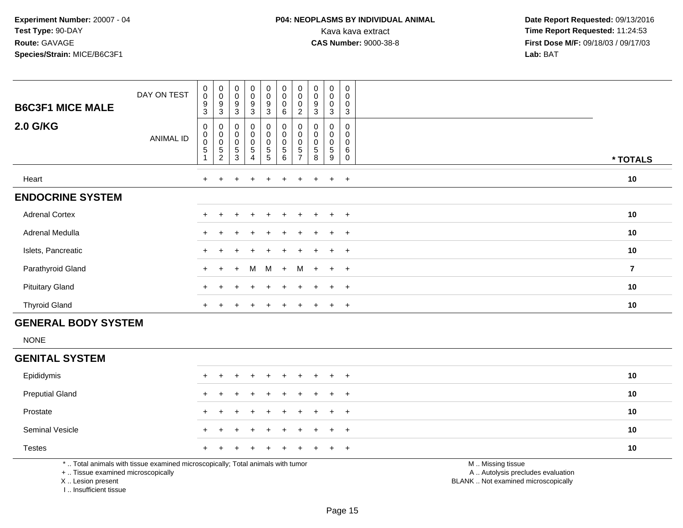# **P04: NEOPLASMS BY INDIVIDUAL ANIMAL**<br>Kava kava extract Kava kava extract **Time Report Requested:** 11:24:53<br>**CAS Number:** 9000-38-8 **Time Report Requested:** 11:24:53

 **Date Report Requested:** 09/13/2016 **First Dose M/F:** 09/18/03 / 09/17/03<br>**Lab:** BAT **Lab:** BAT

| <b>B6C3F1 MICE MALE</b><br><b>2.0 G/KG</b> | DAY ON TEST<br><b>ANIMAL ID</b> | $\pmb{0}$<br>$\mathbf 0$<br>$\boldsymbol{9}$<br>$\mathbf{3}$<br>0<br>$_{\rm 0}^{\rm 0}$ | $\begin{smallmatrix}0\\0\end{smallmatrix}$<br>$\boldsymbol{9}$<br>$\sqrt{3}$<br>$\begin{smallmatrix}0\\0\\0\end{smallmatrix}$ | $\mathbf 0$<br>$\pmb{0}$<br>$\boldsymbol{9}$<br>3<br>$\mathbf 0$<br>$\boldsymbol{0}$<br>$\boldsymbol{0}$ | $_{\rm 0}^{\rm 0}$<br>9<br>$\mathbf{3}$<br>$\begin{smallmatrix}0\0\0\0\end{smallmatrix}$ | 0<br>0<br>9<br>$\mathbf{3}$<br>0<br>0<br>0 | $\begin{smallmatrix}0\\0\\0\end{smallmatrix}$<br>6<br>$\pmb{0}$<br>$\overline{0}$<br>0 | $\pmb{0}$<br>$\pmb{0}$<br>$\mathbf 0$<br>$\overline{c}$<br>0<br>$\pmb{0}$<br>$\pmb{0}$ | $\pmb{0}$<br>$\pmb{0}$<br>$\boldsymbol{9}$<br>3<br>$\pmb{0}$<br>$\mathbf 0$ | $\mathbf 0$<br>$\mathsf{O}\xspace$<br>$\pmb{0}$<br>3<br>0<br>$\pmb{0}$<br>0 | 0<br>0<br>0<br>3<br>0<br>0<br>0 |                |
|--------------------------------------------|---------------------------------|-----------------------------------------------------------------------------------------|-------------------------------------------------------------------------------------------------------------------------------|----------------------------------------------------------------------------------------------------------|------------------------------------------------------------------------------------------|--------------------------------------------|----------------------------------------------------------------------------------------|----------------------------------------------------------------------------------------|-----------------------------------------------------------------------------|-----------------------------------------------------------------------------|---------------------------------|----------------|
|                                            |                                 | $\sqrt{5}$                                                                              | $\mathbf 5$<br>$\overline{c}$                                                                                                 | 5<br>3                                                                                                   | $\,$ 5 $\,$<br>4                                                                         | 5<br>5                                     | $\sqrt{5}$<br>$\,6\,$                                                                  | 5<br>$\overline{ }$                                                                    | 5<br>8                                                                      | 5<br>9                                                                      | 6<br>0                          | * TOTALS       |
| Heart                                      |                                 | $+$                                                                                     | $\div$                                                                                                                        |                                                                                                          | $\ddot{}$                                                                                | $+$                                        | $\pm$                                                                                  | $\pm$                                                                                  | $+$                                                                         | $+$                                                                         | $+$                             | 10             |
| <b>ENDOCRINE SYSTEM</b>                    |                                 |                                                                                         |                                                                                                                               |                                                                                                          |                                                                                          |                                            |                                                                                        |                                                                                        |                                                                             |                                                                             |                                 |                |
| <b>Adrenal Cortex</b>                      |                                 |                                                                                         |                                                                                                                               |                                                                                                          |                                                                                          | ÷                                          |                                                                                        |                                                                                        |                                                                             | $\pm$                                                                       | $+$                             | 10             |
| Adrenal Medulla                            |                                 |                                                                                         |                                                                                                                               |                                                                                                          |                                                                                          | ÷                                          |                                                                                        |                                                                                        |                                                                             | $\ddot{}$                                                                   | $+$                             | 10             |
| Islets, Pancreatic                         |                                 |                                                                                         |                                                                                                                               |                                                                                                          | $\div$                                                                                   | $\pm$                                      | $\pm$                                                                                  | $+$                                                                                    | $+$                                                                         | $+$                                                                         | $+$                             | 10             |
| Parathyroid Gland                          |                                 | $+$                                                                                     | $\ddot{}$                                                                                                                     | $+$                                                                                                      | M                                                                                        | M                                          | $+$                                                                                    | M                                                                                      |                                                                             | $+$ $+$ $+$                                                                 |                                 | $\overline{7}$ |
| <b>Pituitary Gland</b>                     |                                 |                                                                                         |                                                                                                                               |                                                                                                          | $\div$                                                                                   | $+$                                        |                                                                                        |                                                                                        |                                                                             | $+$                                                                         | $+$                             | 10             |
| <b>Thyroid Gland</b>                       |                                 |                                                                                         |                                                                                                                               |                                                                                                          |                                                                                          |                                            |                                                                                        |                                                                                        |                                                                             | $\pm$                                                                       | $+$                             | 10             |

## **GENERAL BODY SYSTEM**

NONE

#### **GENITAL SYSTEM**

| Epididymis             |  |  | + + + + + + + + + + |  |  | 10 |
|------------------------|--|--|---------------------|--|--|----|
| <b>Preputial Gland</b> |  |  | + + + + + + + + + + |  |  | 10 |
| Prostate               |  |  | + + + + + + + + + + |  |  | 10 |
| <b>Seminal Vesicle</b> |  |  | + + + + + + + + + + |  |  | 10 |
| <b>Testes</b>          |  |  | + + + + + + + + + + |  |  | 10 |

\* .. Total animals with tissue examined microscopically; Total animals with tumor

+ .. Tissue examined microscopically

X .. Lesion present

I .. Insufficient tissue

M .. Missing tissue

y the contract of the contract of the contract of the contract of the contract of the contract of the contract of  $A$ . Autolysis precludes evaluation

Lesion present BLANK .. Not examined microscopically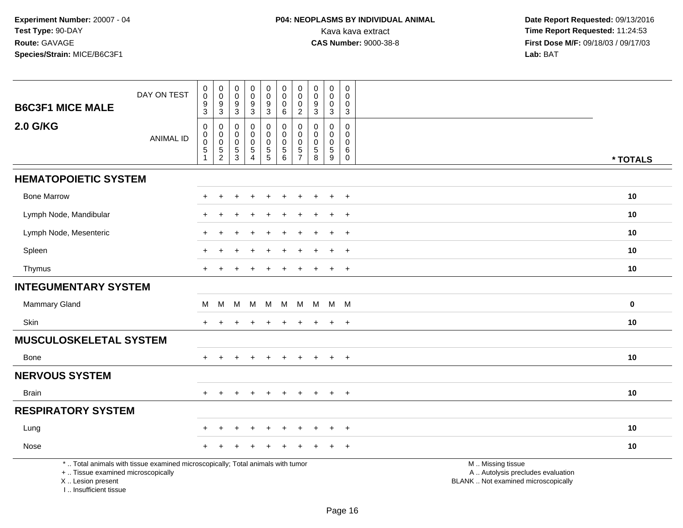| <b>B6C3F1 MICE MALE</b>                                 | DAY ON TEST                                                                     | $\mathbf 0$<br>$\pmb{0}$<br>$\boldsymbol{9}$<br>$\sqrt{3}$           | $\pmb{0}$<br>$\pmb{0}$<br>$\boldsymbol{9}$<br>$\mathbf{3}$  | $\pmb{0}$<br>$\pmb{0}$<br>$\boldsymbol{9}$<br>$\sqrt{3}$ | $_{\rm 0}^{\rm 0}$<br>$\overline{9}$<br>$\ensuremath{\mathsf{3}}$       | $_{\rm 0}^{\rm 0}$<br>$\boldsymbol{9}$<br>$\sqrt{3}$                     | $\mathbf 0$<br>$\mathbf 0$<br>$\Omega$<br>$\,6\,$                        | 0<br>$\mathbf 0$<br>$\mathbf 0$<br>$\overline{c}$             | $\pmb{0}$<br>$\mathbf 0$<br>$\boldsymbol{9}$<br>$\ensuremath{\mathsf{3}}$ | $\pmb{0}$<br>0<br>0<br>$\mathbf{3}$                                         | $\pmb{0}$<br>$\mathbf 0$<br>$\mathbf 0$<br>$\sqrt{3}$               |                                                                                               |           |
|---------------------------------------------------------|---------------------------------------------------------------------------------|----------------------------------------------------------------------|-------------------------------------------------------------|----------------------------------------------------------|-------------------------------------------------------------------------|--------------------------------------------------------------------------|--------------------------------------------------------------------------|---------------------------------------------------------------|---------------------------------------------------------------------------|-----------------------------------------------------------------------------|---------------------------------------------------------------------|-----------------------------------------------------------------------------------------------|-----------|
| <b>2.0 G/KG</b>                                         | <b>ANIMAL ID</b>                                                                | $\mathbf 0$<br>$\pmb{0}$<br>$\pmb{0}$<br>$\mathbf 5$<br>$\mathbf{1}$ | 0<br>0<br>$\boldsymbol{0}$<br>$\,$ 5 $\,$<br>$\overline{c}$ | $\pmb{0}$<br>0<br>$\mathbf 0$<br>$\frac{5}{3}$           | $\mathbf 0$<br>$\mathbf 0$<br>$\pmb{0}$<br>$\sqrt{5}$<br>$\overline{4}$ | $\pmb{0}$<br>$\mathsf{O}\xspace$<br>$\mathsf{O}\xspace$<br>$\frac{5}{5}$ | $\mathbf 0$<br>$\mathbf 0$<br>$\Omega$<br>$\,$ 5 $\,$<br>$6\phantom{1}6$ | 0<br>$\mathbf 0$<br>$\Omega$<br>$\,$ 5 $\,$<br>$\overline{7}$ | 0<br>$\mathbf{0}$<br>$\Omega$<br>$\,$ 5 $\,$<br>8                         | $\mathbf 0$<br>$\mathbf 0$<br>$\mathbf 0$<br>$\sqrt{5}$<br>$\boldsymbol{9}$ | $\mathbf 0$<br>$\mathbf 0$<br>$\mathbf 0$<br>$\,6\,$<br>$\mathbf 0$ |                                                                                               | * TOTALS  |
| <b>HEMATOPOIETIC SYSTEM</b>                             |                                                                                 |                                                                      |                                                             |                                                          |                                                                         |                                                                          |                                                                          |                                                               |                                                                           |                                                                             |                                                                     |                                                                                               |           |
| <b>Bone Marrow</b>                                      |                                                                                 |                                                                      |                                                             |                                                          |                                                                         |                                                                          |                                                                          |                                                               |                                                                           | $\pm$                                                                       | $+$                                                                 |                                                                                               | 10        |
| Lymph Node, Mandibular                                  |                                                                                 |                                                                      |                                                             |                                                          |                                                                         |                                                                          |                                                                          |                                                               |                                                                           | $\ddot{}$                                                                   | $+$                                                                 |                                                                                               | 10        |
| Lymph Node, Mesenteric                                  |                                                                                 |                                                                      |                                                             |                                                          |                                                                         |                                                                          |                                                                          |                                                               |                                                                           |                                                                             | $\overline{+}$                                                      |                                                                                               | 10        |
| Spleen                                                  |                                                                                 |                                                                      |                                                             |                                                          |                                                                         |                                                                          |                                                                          |                                                               |                                                                           | $\div$                                                                      | $^{+}$                                                              |                                                                                               | 10        |
| Thymus                                                  |                                                                                 |                                                                      |                                                             |                                                          |                                                                         |                                                                          |                                                                          |                                                               |                                                                           | $\pm$                                                                       | $+$                                                                 |                                                                                               | 10        |
| <b>INTEGUMENTARY SYSTEM</b>                             |                                                                                 |                                                                      |                                                             |                                                          |                                                                         |                                                                          |                                                                          |                                                               |                                                                           |                                                                             |                                                                     |                                                                                               |           |
| Mammary Gland                                           |                                                                                 | M                                                                    | M                                                           | M                                                        | M M                                                                     |                                                                          | M                                                                        | M                                                             |                                                                           | M M M                                                                       |                                                                     |                                                                                               | $\pmb{0}$ |
| Skin                                                    |                                                                                 | $\pm$                                                                | $\ddot{}$                                                   | $\pm$                                                    | $\div$                                                                  | $\ddot{}$                                                                | $\ddot{}$                                                                | $\pm$                                                         | $\pm$                                                                     | $+$                                                                         | $+$                                                                 |                                                                                               | 10        |
| <b>MUSCULOSKELETAL SYSTEM</b>                           |                                                                                 |                                                                      |                                                             |                                                          |                                                                         |                                                                          |                                                                          |                                                               |                                                                           |                                                                             |                                                                     |                                                                                               |           |
| Bone                                                    |                                                                                 | $\pm$                                                                |                                                             |                                                          |                                                                         |                                                                          |                                                                          |                                                               |                                                                           | $\ddot{}$                                                                   | $+$                                                                 |                                                                                               | 10        |
| <b>NERVOUS SYSTEM</b>                                   |                                                                                 |                                                                      |                                                             |                                                          |                                                                         |                                                                          |                                                                          |                                                               |                                                                           |                                                                             |                                                                     |                                                                                               |           |
| <b>Brain</b>                                            |                                                                                 | $+$                                                                  |                                                             |                                                          |                                                                         | $\ddot{}$                                                                |                                                                          | ÷.                                                            |                                                                           | $\pm$                                                                       | $+$                                                                 |                                                                                               | 10        |
| <b>RESPIRATORY SYSTEM</b>                               |                                                                                 |                                                                      |                                                             |                                                          |                                                                         |                                                                          |                                                                          |                                                               |                                                                           |                                                                             |                                                                     |                                                                                               |           |
| Lung                                                    |                                                                                 |                                                                      |                                                             |                                                          |                                                                         |                                                                          |                                                                          |                                                               |                                                                           |                                                                             | $\overline{+}$                                                      |                                                                                               | 10        |
| Nose                                                    |                                                                                 |                                                                      |                                                             |                                                          |                                                                         |                                                                          |                                                                          |                                                               |                                                                           |                                                                             | $\ddot{}$                                                           |                                                                                               | 10        |
| +  Tissue examined microscopically<br>X  Lesion present | *  Total animals with tissue examined microscopically; Total animals with tumor |                                                                      |                                                             |                                                          |                                                                         |                                                                          |                                                                          |                                                               |                                                                           |                                                                             |                                                                     | M  Missing tissue<br>A  Autolysis precludes evaluation<br>BLANK  Not examined microscopically |           |

I .. Insufficient tissue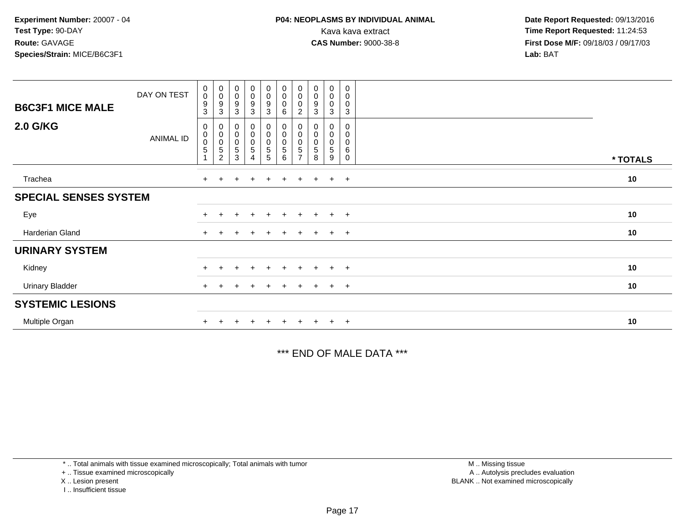| <b>B6C3F1 MICE MALE</b>      | DAY ON TEST      | $_{\rm 0}^{\rm 0}$<br>$\boldsymbol{9}$<br>3 | $_{\rm 0}^{\rm 0}$<br>$\boldsymbol{9}$                            | $\pmb{0}$<br>$\pmb{0}$<br>9                | $_0^0$<br>$\overline{9}$<br>3                       | $\begin{smallmatrix}0\0\0\9\end{smallmatrix}$<br>$\mathbf{3}$  | $\begin{smallmatrix}0\\0\\0\end{smallmatrix}$<br>$\,6\,$ | $\begin{smallmatrix} 0\\0 \end{smallmatrix}$<br>$\pmb{0}$                     | $\begin{smallmatrix}0\\0\\9\end{smallmatrix}$<br>3 | $\begin{smallmatrix} 0\\0 \end{smallmatrix}$<br>$\pmb{0}$ | $\mathbf 0$<br>0           |          |  |
|------------------------------|------------------|---------------------------------------------|-------------------------------------------------------------------|--------------------------------------------|-----------------------------------------------------|----------------------------------------------------------------|----------------------------------------------------------|-------------------------------------------------------------------------------|----------------------------------------------------|-----------------------------------------------------------|----------------------------|----------|--|
| <b>2.0 G/KG</b>              | <b>ANIMAL ID</b> | 0<br>$_{\rm 0}^{\rm 0}$<br>$\mathbf 5$      | 3<br>$\pmb{0}$<br>$\overline{0}$<br>$\,$ 5 $\,$<br>$\overline{c}$ | 3<br>0<br>$\pmb{0}$<br>$\pmb{0}$<br>5<br>3 | $\begin{matrix} 0 \\ 0 \\ 0 \end{matrix}$<br>5<br>4 | $\begin{smallmatrix}0\0\0\0\end{smallmatrix}$<br>$\frac{5}{5}$ | $_{\rm 0}^{\rm 0}$<br>$\pmb{0}$<br>$\sqrt{5}$<br>6       | $\overline{c}$<br>0<br>$\pmb{0}$<br>$\pmb{0}$<br>$\sqrt{5}$<br>$\overline{ }$ | $_{\rm 0}^{\rm 0}$<br>5<br>8                       | 3<br>0<br>$\pmb{0}$<br>$\pmb{0}$<br>5<br>9                | 3<br>0<br>0<br>0<br>6<br>0 | * TOTALS |  |
| Trachea                      |                  | $\pm$                                       |                                                                   | ÷                                          | $\div$                                              | $+$                                                            | $\ddot{}$                                                | $\pm$                                                                         | $+$                                                | $\overline{+}$                                            | $+$                        | 10       |  |
| <b>SPECIAL SENSES SYSTEM</b> |                  |                                             |                                                                   |                                            |                                                     |                                                                |                                                          |                                                                               |                                                    |                                                           |                            |          |  |
| Eye                          |                  |                                             |                                                                   |                                            | $\div$                                              | $+$                                                            | $+$                                                      | $+$                                                                           | $+$                                                | $+$                                                       | $+$                        | 10       |  |
| Harderian Gland              |                  | $+$                                         |                                                                   |                                            |                                                     | ÷                                                              | $\div$                                                   |                                                                               | $\ddot{}$                                          | $\pm$                                                     | $+$                        | 10       |  |
| <b>URINARY SYSTEM</b>        |                  |                                             |                                                                   |                                            |                                                     |                                                                |                                                          |                                                                               |                                                    |                                                           |                            |          |  |
| Kidney                       |                  |                                             |                                                                   | $\pm$                                      | $\pm$                                               | $+$                                                            | $+$                                                      | $+$                                                                           | $+$                                                | $+$                                                       | $+$                        | 10       |  |
| <b>Urinary Bladder</b>       |                  | $+$                                         |                                                                   |                                            | $\pm$                                               | $\pm$                                                          | $+$                                                      | $+$                                                                           | $+$                                                | $+$                                                       | $+$                        | 10       |  |
| <b>SYSTEMIC LESIONS</b>      |                  |                                             |                                                                   |                                            |                                                     |                                                                |                                                          |                                                                               |                                                    |                                                           |                            |          |  |
| Multiple Organ               |                  |                                             |                                                                   |                                            |                                                     |                                                                |                                                          |                                                                               |                                                    | $\pm$                                                     | $^{+}$                     | 10       |  |

\*\*\* END OF MALE DATA \*\*\*

\* .. Total animals with tissue examined microscopically; Total animals with tumor

+ .. Tissue examined microscopically

X .. Lesion present

I .. Insufficient tissue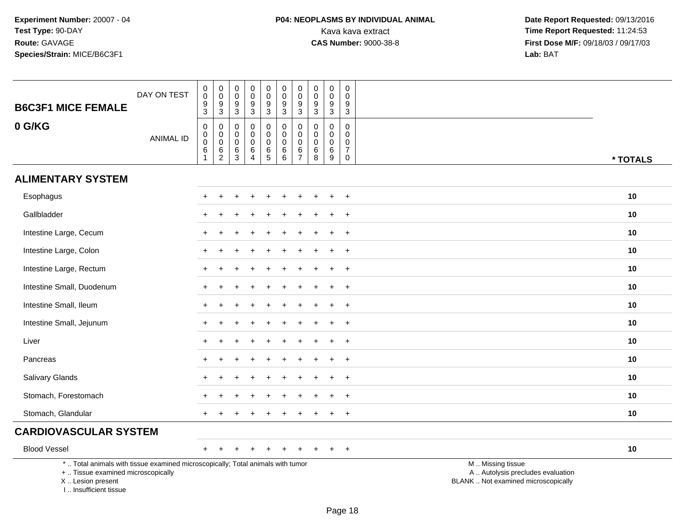I .. Insufficient tissue

| <b>B6C3F1 MICE FEMALE</b>                                                                                                                  | DAY ON TEST      | $\,0\,$<br>$\mathbf 0$<br>$\frac{9}{3}$                                      | $\boldsymbol{0}$<br>$\mathbf 0$<br>$\boldsymbol{9}$<br>$\overline{3}$ | 0<br>$\mathsf 0$<br>9<br>3                             | $\mathbf 0$<br>$\pmb{0}$<br>9<br>$\mathbf{3}$                    | $\pmb{0}$<br>$\pmb{0}$<br>9<br>3              | $\mathsf 0$<br>$\mathbf 0$<br>9<br>3                | $\pmb{0}$<br>$\pmb{0}$<br>$9\,$<br>3                     | $\pmb{0}$<br>$\pmb{0}$<br>$\boldsymbol{9}$<br>$\mathbf{3}$ | $\pmb{0}$<br>$\mathbf 0$<br>$\boldsymbol{9}$<br>$\overline{3}$         | $\mathbf 0$<br>$\mathbf 0$<br>9<br>$\mathbf{3}$                          |                                                                                               |          |
|--------------------------------------------------------------------------------------------------------------------------------------------|------------------|------------------------------------------------------------------------------|-----------------------------------------------------------------------|--------------------------------------------------------|------------------------------------------------------------------|-----------------------------------------------|-----------------------------------------------------|----------------------------------------------------------|------------------------------------------------------------|------------------------------------------------------------------------|--------------------------------------------------------------------------|-----------------------------------------------------------------------------------------------|----------|
| 0 G/KG                                                                                                                                     | <b>ANIMAL ID</b> | $\pmb{0}$<br>$\pmb{0}$<br>$\pmb{0}$<br>$\begin{array}{c} 6 \\ 1 \end{array}$ | 0<br>$\mathbf 0$<br>$\mathbf 0$<br>$^6_2$                             | 0<br>$\mathbf 0$<br>$\mathbf 0$<br>6<br>$\overline{3}$ | $\mathbf 0$<br>$\mathbf 0$<br>$\mathbf 0$<br>6<br>$\overline{4}$ | 0<br>$\mathsf 0$<br>$\mathsf 0$<br>$6\over 5$ | $\mathbf 0$<br>$\mathbf 0$<br>$\mathbf 0$<br>$^6_6$ | $\mathbf 0$<br>$\pmb{0}$<br>$\mathbf 0$<br>$\frac{6}{7}$ | $\mathbf 0$<br>$\mathbf 0$<br>$\mathbf 0$<br>$^6_8$        | $\mathbf 0$<br>$\mathbf 0$<br>$\mathbf 0$<br>$\,6\,$<br>$\overline{9}$ | $\mathbf 0$<br>$\mathbf 0$<br>$\mathbf 0$<br>$\overline{7}$<br>$\pmb{0}$ |                                                                                               | * TOTALS |
| <b>ALIMENTARY SYSTEM</b>                                                                                                                   |                  |                                                                              |                                                                       |                                                        |                                                                  |                                               |                                                     |                                                          |                                                            |                                                                        |                                                                          |                                                                                               |          |
| Esophagus                                                                                                                                  |                  |                                                                              |                                                                       |                                                        |                                                                  |                                               |                                                     |                                                          |                                                            |                                                                        | $\ddot{}$                                                                |                                                                                               | 10       |
| Gallbladder                                                                                                                                |                  |                                                                              |                                                                       |                                                        |                                                                  |                                               |                                                     |                                                          |                                                            |                                                                        | $\overline{+}$                                                           |                                                                                               | 10       |
| Intestine Large, Cecum                                                                                                                     |                  |                                                                              |                                                                       |                                                        |                                                                  |                                               |                                                     |                                                          |                                                            |                                                                        | $\ddot{}$                                                                |                                                                                               | 10       |
| Intestine Large, Colon                                                                                                                     |                  |                                                                              |                                                                       |                                                        |                                                                  |                                               |                                                     |                                                          |                                                            |                                                                        | $\overline{+}$                                                           |                                                                                               | 10       |
| Intestine Large, Rectum                                                                                                                    |                  | $+$                                                                          | $\div$                                                                | +                                                      |                                                                  |                                               |                                                     |                                                          |                                                            | ÷                                                                      | $+$                                                                      |                                                                                               | 10       |
| Intestine Small, Duodenum                                                                                                                  |                  |                                                                              |                                                                       |                                                        |                                                                  |                                               |                                                     |                                                          |                                                            |                                                                        | $\ddot{}$                                                                |                                                                                               | 10       |
| Intestine Small, Ileum                                                                                                                     |                  |                                                                              |                                                                       |                                                        |                                                                  |                                               |                                                     |                                                          |                                                            |                                                                        | $\ddot{}$                                                                |                                                                                               | 10       |
| Intestine Small, Jejunum                                                                                                                   |                  |                                                                              |                                                                       |                                                        |                                                                  |                                               |                                                     |                                                          |                                                            | ÷                                                                      | $\overline{+}$                                                           |                                                                                               | 10       |
| Liver                                                                                                                                      |                  |                                                                              |                                                                       |                                                        |                                                                  |                                               |                                                     |                                                          |                                                            |                                                                        | $\ddot{}$                                                                |                                                                                               | 10       |
| Pancreas                                                                                                                                   |                  | $\pm$                                                                        |                                                                       |                                                        |                                                                  |                                               |                                                     |                                                          |                                                            |                                                                        | $+$                                                                      |                                                                                               | 10       |
| Salivary Glands                                                                                                                            |                  |                                                                              |                                                                       |                                                        |                                                                  |                                               |                                                     |                                                          |                                                            |                                                                        | $+$                                                                      |                                                                                               | 10       |
| Stomach, Forestomach                                                                                                                       |                  |                                                                              |                                                                       |                                                        |                                                                  |                                               |                                                     |                                                          |                                                            |                                                                        | $\ddot{}$                                                                |                                                                                               | 10       |
| Stomach, Glandular                                                                                                                         |                  | $+$                                                                          |                                                                       |                                                        |                                                                  |                                               |                                                     |                                                          |                                                            | $\ddot{}$                                                              | $+$                                                                      |                                                                                               | 10       |
| <b>CARDIOVASCULAR SYSTEM</b>                                                                                                               |                  |                                                                              |                                                                       |                                                        |                                                                  |                                               |                                                     |                                                          |                                                            |                                                                        |                                                                          |                                                                                               |          |
| <b>Blood Vessel</b>                                                                                                                        |                  |                                                                              |                                                                       |                                                        |                                                                  |                                               |                                                     |                                                          |                                                            |                                                                        | $\overline{+}$                                                           |                                                                                               | 10       |
| *  Total animals with tissue examined microscopically; Total animals with tumor<br>+  Tissue examined microscopically<br>X  Lesion present |                  |                                                                              |                                                                       |                                                        |                                                                  |                                               |                                                     |                                                          |                                                            |                                                                        |                                                                          | M  Missing tissue<br>A  Autolysis precludes evaluation<br>BLANK  Not examined microscopically |          |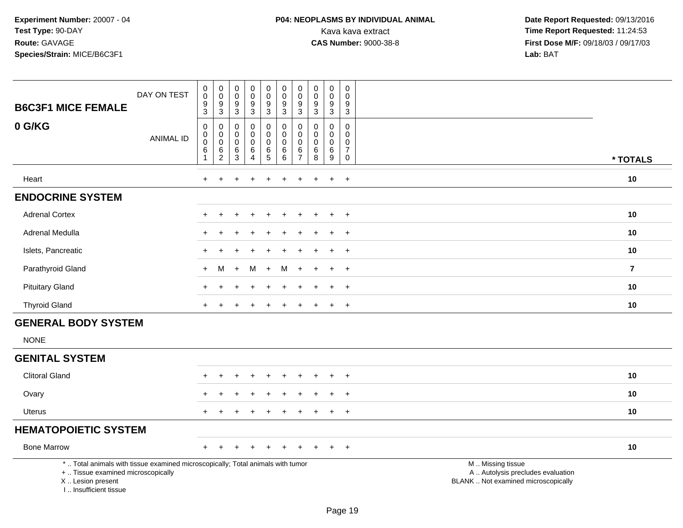# **P04: NEOPLASMS BY INDIVIDUAL ANIMAL**Kava kava extract **Time Report Requested:** 11:24:53<br>**CAS Number:** 9000-38-8 **Time Report Requested:** 11:24:53

 **Date Report Requested:** 09/13/2016 **First Dose M/F:** 09/18/03 / 09/17/03<br>Lab: BAT **Lab:** BAT

| <b>B6C3F1 MICE FEMALE</b>                                                                                                                                           | DAY ON TEST      | $_{\rm 0}^{\rm 0}$<br>$\frac{9}{3}$                      | $_{\rm 0}^{\rm 0}$<br>$\frac{9}{3}$              | $\pmb{0}$<br>$\mathbf 0$<br>$\frac{9}{3}$ | $_{\rm 0}^{\rm 0}$<br>$\frac{9}{3}$                                  | $\pmb{0}$<br>$\mathbf 0$<br>$\frac{9}{3}$                              | $_{\rm 0}^{\rm 0}$<br>$\boldsymbol{9}$<br>$\mathbf{3}$                             | $\pmb{0}$<br>$\mathbf 0$<br>9<br>3                               | $\pmb{0}$<br>$\mathbf 0$<br>$\boldsymbol{9}$<br>$\mathbf{3}$ | $_{\rm 0}^{\rm 0}$<br>$\frac{9}{3}$                        | $\mathsf{O}\xspace$<br>$\mathbf 0$<br>$\frac{9}{3}$                                |                                                                                               |                         |
|---------------------------------------------------------------------------------------------------------------------------------------------------------------------|------------------|----------------------------------------------------------|--------------------------------------------------|-------------------------------------------|----------------------------------------------------------------------|------------------------------------------------------------------------|------------------------------------------------------------------------------------|------------------------------------------------------------------|--------------------------------------------------------------|------------------------------------------------------------|------------------------------------------------------------------------------------|-----------------------------------------------------------------------------------------------|-------------------------|
| 0 G/KG                                                                                                                                                              | <b>ANIMAL ID</b> | $\mathbf 0$<br>0<br>$\mathbf 0$<br>$\,6$<br>$\mathbf{1}$ | $\pmb{0}$<br>$\mathsf{O}$<br>$\pmb{0}$<br>$^6_2$ | $\mathbf 0$<br>0<br>$\mathbf 0$<br>$^6_3$ | $\pmb{0}$<br>$\mathbf 0$<br>$\mathsf 0$<br>$\,6\,$<br>$\overline{4}$ | 0<br>$\mathbf 0$<br>$\pmb{0}$<br>$\begin{array}{c} 6 \\ 5 \end{array}$ | $\mathbf 0$<br>$\mathbf 0$<br>$\mathbf 0$<br>$\begin{array}{c} 6 \\ 6 \end{array}$ | $\mathbf 0$<br>$\mathbf 0$<br>$\mathbf 0$<br>6<br>$\overline{7}$ | $\mathbf 0$<br>$\mathbf{0}$<br>0<br>$\,6$<br>$\overline{8}$  | $\mathbf 0$<br>0<br>$\pmb{0}$<br>$\,6\,$<br>$\overline{9}$ | $\mathbf 0$<br>$\mathbf 0$<br>$\mathbf 0$<br>$\overline{7}$<br>$\mathsf{O}\xspace$ |                                                                                               | * TOTALS                |
| Heart                                                                                                                                                               |                  | $+$                                                      |                                                  |                                           |                                                                      |                                                                        |                                                                                    |                                                                  |                                                              | $\ddot{}$                                                  | $+$                                                                                |                                                                                               | 10                      |
| <b>ENDOCRINE SYSTEM</b>                                                                                                                                             |                  |                                                          |                                                  |                                           |                                                                      |                                                                        |                                                                                    |                                                                  |                                                              |                                                            |                                                                                    |                                                                                               |                         |
| <b>Adrenal Cortex</b>                                                                                                                                               |                  |                                                          |                                                  |                                           |                                                                      |                                                                        |                                                                                    |                                                                  |                                                              |                                                            | $\overline{+}$                                                                     |                                                                                               | 10                      |
| Adrenal Medulla                                                                                                                                                     |                  |                                                          |                                                  |                                           |                                                                      |                                                                        |                                                                                    |                                                                  |                                                              |                                                            | $\ddot{}$                                                                          |                                                                                               | 10                      |
| Islets, Pancreatic                                                                                                                                                  |                  |                                                          |                                                  |                                           |                                                                      |                                                                        |                                                                                    |                                                                  |                                                              | $\ddot{}$                                                  | $+$                                                                                |                                                                                               | 10                      |
| Parathyroid Gland                                                                                                                                                   |                  |                                                          | м                                                |                                           | M                                                                    | $\ddot{}$                                                              | м                                                                                  |                                                                  |                                                              | ÷                                                          | $\ddot{}$                                                                          |                                                                                               | $\overline{\mathbf{z}}$ |
| <b>Pituitary Gland</b>                                                                                                                                              |                  |                                                          |                                                  |                                           |                                                                      |                                                                        |                                                                                    |                                                                  |                                                              | $\div$                                                     | $\overline{+}$                                                                     |                                                                                               | 10                      |
| <b>Thyroid Gland</b>                                                                                                                                                |                  | $+$                                                      |                                                  |                                           |                                                                      |                                                                        |                                                                                    |                                                                  |                                                              | $+$                                                        | $+$                                                                                |                                                                                               | 10                      |
| <b>GENERAL BODY SYSTEM</b>                                                                                                                                          |                  |                                                          |                                                  |                                           |                                                                      |                                                                        |                                                                                    |                                                                  |                                                              |                                                            |                                                                                    |                                                                                               |                         |
| <b>NONE</b>                                                                                                                                                         |                  |                                                          |                                                  |                                           |                                                                      |                                                                        |                                                                                    |                                                                  |                                                              |                                                            |                                                                                    |                                                                                               |                         |
| <b>GENITAL SYSTEM</b>                                                                                                                                               |                  |                                                          |                                                  |                                           |                                                                      |                                                                        |                                                                                    |                                                                  |                                                              |                                                            |                                                                                    |                                                                                               |                         |
| <b>Clitoral Gland</b>                                                                                                                                               |                  |                                                          |                                                  |                                           |                                                                      |                                                                        |                                                                                    |                                                                  |                                                              |                                                            |                                                                                    |                                                                                               | 10                      |
| Ovary                                                                                                                                                               |                  |                                                          |                                                  |                                           |                                                                      |                                                                        |                                                                                    |                                                                  |                                                              |                                                            | $\overline{ }$                                                                     |                                                                                               | 10                      |
| <b>Uterus</b>                                                                                                                                                       |                  | $+$                                                      |                                                  |                                           |                                                                      |                                                                        |                                                                                    |                                                                  |                                                              | $\ddot{}$                                                  | $+$                                                                                |                                                                                               | 10                      |
| <b>HEMATOPOIETIC SYSTEM</b>                                                                                                                                         |                  |                                                          |                                                  |                                           |                                                                      |                                                                        |                                                                                    |                                                                  |                                                              |                                                            |                                                                                    |                                                                                               |                         |
| <b>Bone Marrow</b>                                                                                                                                                  |                  |                                                          |                                                  |                                           |                                                                      |                                                                        |                                                                                    |                                                                  |                                                              |                                                            | $+$                                                                                |                                                                                               | 10                      |
| *  Total animals with tissue examined microscopically; Total animals with tumor<br>+  Tissue examined microscopically<br>X  Lesion present<br>I Insufficient tissue |                  |                                                          |                                                  |                                           |                                                                      |                                                                        |                                                                                    |                                                                  |                                                              |                                                            |                                                                                    | M  Missing tissue<br>A  Autolysis precludes evaluation<br>BLANK  Not examined microscopically |                         |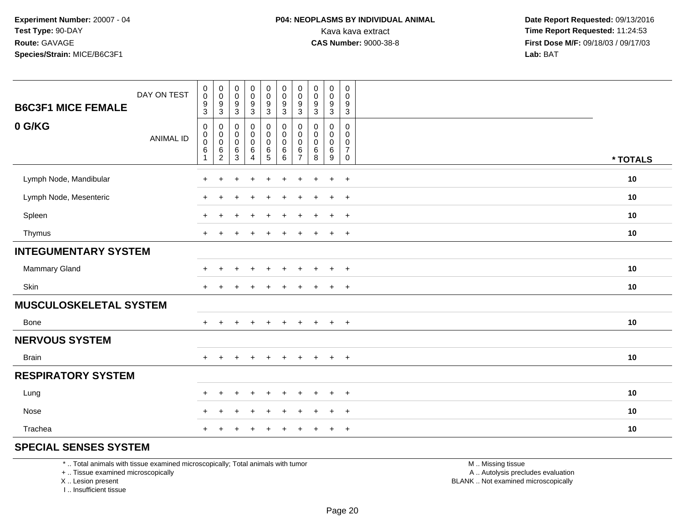| <b>B6C3F1 MICE FEMALE</b>     | DAY ON TEST      | $_{\rm 0}^{\rm 0}$<br>$\frac{9}{3}$                                                  | $_{\rm 0}^{\rm 0}$<br>$\frac{9}{3}$                 | 0<br>0<br>$\frac{9}{3}$                               | $_{\rm 0}^{\rm 0}$<br>$\frac{9}{3}$                            | $\begin{array}{c} 0 \\ 0 \\ 9 \\ 3 \end{array}$ | $\begin{smallmatrix} 0\\0 \end{smallmatrix}$<br>$\frac{9}{3}$ | $\pmb{0}$<br>$\mathbf 0$<br>$9\,$<br>$\mathbf{3}$      | $\mathbf 0$<br>$\pmb{0}$<br>$\frac{9}{3}$   | $\pmb{0}$<br>$\pmb{0}$<br>$\frac{9}{3}$ | $\mathbf 0$<br>0<br>$\boldsymbol{9}$<br>$\overline{3}$                     |          |
|-------------------------------|------------------|--------------------------------------------------------------------------------------|-----------------------------------------------------|-------------------------------------------------------|----------------------------------------------------------------|-------------------------------------------------|---------------------------------------------------------------|--------------------------------------------------------|---------------------------------------------|-----------------------------------------|----------------------------------------------------------------------------|----------|
| 0 G/KG                        | <b>ANIMAL ID</b> | $\pmb{0}$<br>$\begin{smallmatrix}0\\0\end{smallmatrix}$<br>$\,6\,$<br>$\overline{1}$ | 0<br>$\overline{0}$<br>0<br>$\,6$<br>$\overline{c}$ | 0<br>$\mathbf 0$<br>$\mathsf{O}\xspace$<br>$\,6$<br>3 | $\pmb{0}$<br>$\pmb{0}$<br>$\pmb{0}$<br>$\,6$<br>$\overline{4}$ | $\pmb{0}$<br>$\overline{0}$<br>$\frac{6}{5}$    | $\pmb{0}$<br>$\mathbf 0$<br>$\mathbf 0$<br>$\,6\,$<br>6       | 0<br>$\mathbf 0$<br>$\mathbf 0$<br>6<br>$\overline{7}$ | $\mathbf 0$<br>0<br>$\pmb{0}$<br>$\,6$<br>8 | 0<br>0<br>$\pmb{0}$<br>$\,6$<br>9       | $\mathbf 0$<br>$\mathbf 0$<br>$\mathbf 0$<br>$\overline{7}$<br>$\mathbf 0$ | * TOTALS |
| Lymph Node, Mandibular        |                  |                                                                                      |                                                     |                                                       | $\div$                                                         | $\ddot{}$                                       | $\div$                                                        | ÷                                                      |                                             | $\ddot{}$                               | $+$                                                                        | 10       |
| Lymph Node, Mesenteric        |                  |                                                                                      |                                                     |                                                       | $\div$                                                         | ÷                                               | ÷                                                             | $\div$                                                 |                                             | $\ddot{}$                               | $+$                                                                        | 10       |
| Spleen                        |                  | $\pm$                                                                                |                                                     |                                                       | $\pm$                                                          | $\ddot{}$                                       | $\ddot{}$                                                     | ÷                                                      | $\pm$                                       | $+$                                     | $+$                                                                        | 10       |
| Thymus                        |                  | $+$                                                                                  |                                                     |                                                       | $\overline{+}$                                                 | $\ddot{}$                                       | ÷                                                             | ÷                                                      |                                             | $\ddot{}$                               | $+$                                                                        | 10       |
| <b>INTEGUMENTARY SYSTEM</b>   |                  |                                                                                      |                                                     |                                                       |                                                                |                                                 |                                                               |                                                        |                                             |                                         |                                                                            |          |
| Mammary Gland                 |                  | $\pm$                                                                                | $\ddot{}$                                           |                                                       | $\div$                                                         | $\ddot{}$                                       | $\ddot{}$                                                     | $\div$                                                 | $\pm$                                       | $\ddot{}$                               | $+$                                                                        | 10       |
| Skin                          |                  | $\pm$                                                                                | $\ddot{}$                                           |                                                       | $\div$                                                         |                                                 |                                                               |                                                        |                                             | $\ddot{}$                               | $+$                                                                        | 10       |
| <b>MUSCULOSKELETAL SYSTEM</b> |                  |                                                                                      |                                                     |                                                       |                                                                |                                                 |                                                               |                                                        |                                             |                                         |                                                                            |          |
| Bone                          |                  | ÷                                                                                    |                                                     |                                                       | $\div$                                                         | $\ddot{}$                                       | $\div$                                                        | $\div$                                                 |                                             | $+$                                     | $+$                                                                        | 10       |
| <b>NERVOUS SYSTEM</b>         |                  |                                                                                      |                                                     |                                                       |                                                                |                                                 |                                                               |                                                        |                                             |                                         |                                                                            |          |
| Brain                         |                  | $+$                                                                                  | $\pm$                                               | $+$                                                   | $+$                                                            | $+$                                             | $+$                                                           | $\ddot{}$                                              | $+$                                         | $+$                                     | $+$                                                                        | 10       |
| <b>RESPIRATORY SYSTEM</b>     |                  |                                                                                      |                                                     |                                                       |                                                                |                                                 |                                                               |                                                        |                                             |                                         |                                                                            |          |
| Lung                          |                  | $+$                                                                                  | $\ddot{}$                                           | ÷                                                     | $\ddot{}$                                                      | $\ddot{}$                                       | $\ddot{}$                                                     | $\div$                                                 |                                             | $\ddot{}$                               | $+$                                                                        | 10       |
| Nose                          |                  | $+$                                                                                  | $\ddot{}$                                           | $\div$                                                | $\overline{+}$                                                 | $\ddot{}$                                       | ÷                                                             |                                                        |                                             | $\ddot{}$                               | $+$                                                                        | 10       |
| Trachea                       |                  | $\pm$                                                                                | ÷                                                   |                                                       |                                                                |                                                 |                                                               |                                                        |                                             | $\ddot{}$                               | $+$                                                                        | 10       |

## **SPECIAL SENSES SYSTEM**

\* .. Total animals with tissue examined microscopically; Total animals with tumor

+ .. Tissue examined microscopically

X .. Lesion present

I .. Insufficient tissue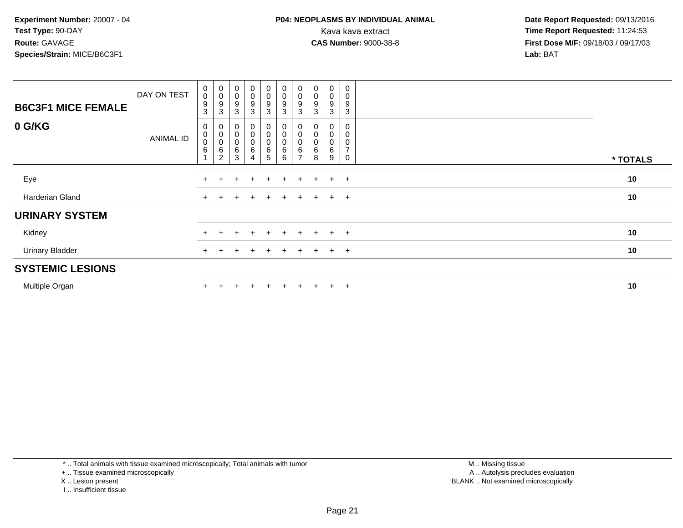| <b>B6C3F1 MICE FEMALE</b> | DAY ON TEST | $\pmb{0}$<br>$\mathbf 0$<br>$\boldsymbol{9}$<br>3 | $_{\rm 0}^{\rm 0}$<br>$\boldsymbol{9}$<br>3              | $_{\rm 0}^{\rm 0}$<br>$\boldsymbol{9}$<br>3 | $\begin{smallmatrix}0\0\0\end{smallmatrix}$<br>$\boldsymbol{9}$<br>3 | $\begin{smallmatrix}0\\0\\9\end{smallmatrix}$<br>$\mathbf{3}$ | $\begin{smallmatrix}0\\0\\9\end{smallmatrix}$<br>$\mathbf{3}$        | 0<br>$\pmb{0}$<br>9<br>3 | $_{\rm 0}^{\rm 0}$<br>9<br>3 | $\begin{smallmatrix} 0\\0 \end{smallmatrix}$<br>9<br>3 | 0<br>$\pmb{0}$<br>9<br>3                             |          |
|---------------------------|-------------|---------------------------------------------------|----------------------------------------------------------|---------------------------------------------|----------------------------------------------------------------------|---------------------------------------------------------------|----------------------------------------------------------------------|--------------------------|------------------------------|--------------------------------------------------------|------------------------------------------------------|----------|
| 0 G/KG                    | ANIMAL ID   | $\mathbf 0$<br>$_{\rm 0}^{\rm 0}$<br>$\,6\,$      | 0<br>$\pmb{0}$<br>$\mathbf 0$<br>$\,6$<br>$\overline{2}$ | 0<br>$\pmb{0}$<br>$\mathbf 0$<br>6<br>3     | 0<br>$_{0}^{0}$<br>$\,6$<br>4                                        | 0<br>0<br>0<br>5                                              | $\boldsymbol{0}$<br>$\begin{bmatrix} 0 \\ 0 \\ 6 \end{bmatrix}$<br>6 | 0<br>0<br>$\pmb{0}$<br>6 | 0<br>0<br>6<br>8             | 0<br>0<br>$\mathbf 0$<br>6<br>9                        | 0<br>0<br>$\pmb{0}$<br>$\overline{z}$<br>$\mathbf 0$ | * TOTALS |
| Eye                       |             | $\pm$                                             |                                                          | $+$                                         | $\ddot{}$                                                            | $+$                                                           | $\pm$                                                                | $\pm$                    | $+$                          | $+$                                                    | $+$                                                  | 10       |
| Harderian Gland           |             | $+$                                               |                                                          |                                             | $\ddot{}$                                                            | $+$                                                           | $+$                                                                  | $+$                      | $+$                          |                                                        | $+$ $+$                                              | 10       |
| <b>URINARY SYSTEM</b>     |             |                                                   |                                                          |                                             |                                                                      |                                                               |                                                                      |                          |                              |                                                        |                                                      |          |
| Kidney                    |             | $+$                                               |                                                          |                                             | $\ddot{}$                                                            | $\pm$                                                         | $+$                                                                  | $\div$                   | $+$                          | $+$                                                    | $+$                                                  | 10       |
| <b>Urinary Bladder</b>    |             | $+$                                               |                                                          | $+$                                         | $\ddot{}$                                                            | $+$                                                           | $+$                                                                  | $+$                      | $+$                          |                                                        | $+$ $+$                                              | 10       |
| <b>SYSTEMIC LESIONS</b>   |             |                                                   |                                                          |                                             |                                                                      |                                                               |                                                                      |                          |                              |                                                        |                                                      |          |
| Multiple Organ            |             |                                                   |                                                          |                                             | $\div$                                                               | $+$                                                           | $\pm$                                                                | $\div$                   |                              | $+$                                                    | $+$                                                  | 10       |

\* .. Total animals with tissue examined microscopically; Total animals with tumor

+ .. Tissue examined microscopically

- X .. Lesion present
- I .. Insufficient tissue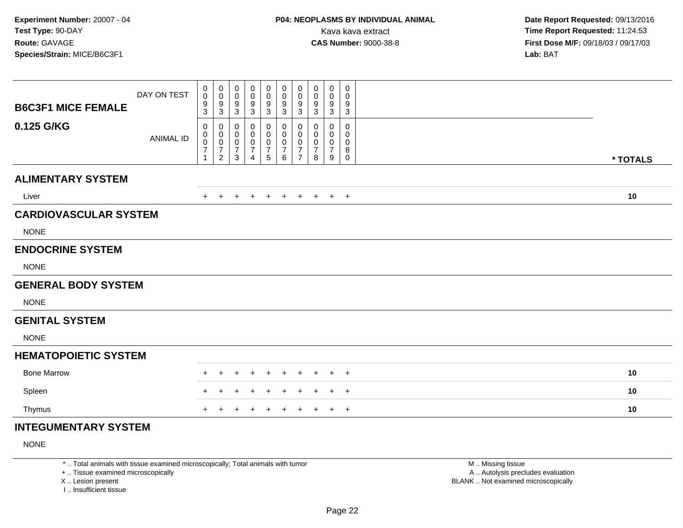|                              | DAY ON TEST      | 0<br>$\pmb{0}$<br>9         | 0<br>$\mathsf{O}\xspace$<br>9         | $\mathbf 0$<br>$\pmb{0}$    | 0<br>0<br>9         | $\mathbf 0$<br>$\pmb{0}$<br>$\boldsymbol{9}$ | 0<br>$\pmb{0}$<br>$\boldsymbol{9}$ | 0<br>$\pmb{0}$<br>$9\,$     | 0<br>0<br>9 | $\pmb{0}$<br>0<br>9 | 0<br>0<br>9      |          |
|------------------------------|------------------|-----------------------------|---------------------------------------|-----------------------------|---------------------|----------------------------------------------|------------------------------------|-----------------------------|-------------|---------------------|------------------|----------|
| <b>B6C3F1 MICE FEMALE</b>    |                  | 3                           | 3                                     | $\frac{9}{3}$               | 3                   | $\sqrt{3}$                                   | 3                                  | $\mathbf{3}$                | 3           | $\sqrt{3}$          | 3                |          |
| 0.125 G/KG                   | <b>ANIMAL ID</b> | 0<br>0                      | 0<br>0                                | 0<br>0                      | 0<br>0              | 0<br>$\mathbf 0$                             | 0<br>0                             | 0<br>$\mathbf 0$            | 0<br>0      | 0<br>0              | $\mathbf 0$<br>0 |          |
|                              |                  | $\pmb{0}$<br>$\overline{7}$ | $\mathsf{O}\xspace$<br>$\overline{7}$ | $\pmb{0}$<br>$\overline{7}$ | 0<br>$\overline{7}$ | $\pmb{0}$<br>$\boldsymbol{7}$                | $\pmb{0}$<br>$\overline{7}$        | $\pmb{0}$<br>$\overline{7}$ | 0<br>7      | 0<br>$\overline{7}$ | 0<br>8           |          |
|                              |                  |                             | $\overline{2}$                        | 3                           | 4                   | $\sqrt{5}$                                   | 6                                  | $\overline{7}$              | 8           | 9                   | 0                | * TOTALS |
| <b>ALIMENTARY SYSTEM</b>     |                  |                             |                                       |                             |                     |                                              |                                    |                             |             |                     |                  |          |
| Liver                        |                  |                             |                                       | ÷                           |                     |                                              | $\pm$                              | $+$                         | $\pm$       | $+$                 | $+$              | 10       |
| <b>CARDIOVASCULAR SYSTEM</b> |                  |                             |                                       |                             |                     |                                              |                                    |                             |             |                     |                  |          |
| <b>NONE</b>                  |                  |                             |                                       |                             |                     |                                              |                                    |                             |             |                     |                  |          |
| <b>ENDOCRINE SYSTEM</b>      |                  |                             |                                       |                             |                     |                                              |                                    |                             |             |                     |                  |          |
| <b>NONE</b>                  |                  |                             |                                       |                             |                     |                                              |                                    |                             |             |                     |                  |          |
| <b>GENERAL BODY SYSTEM</b>   |                  |                             |                                       |                             |                     |                                              |                                    |                             |             |                     |                  |          |
| <b>NONE</b>                  |                  |                             |                                       |                             |                     |                                              |                                    |                             |             |                     |                  |          |
| <b>GENITAL SYSTEM</b>        |                  |                             |                                       |                             |                     |                                              |                                    |                             |             |                     |                  |          |
| <b>NONE</b>                  |                  |                             |                                       |                             |                     |                                              |                                    |                             |             |                     |                  |          |
| <b>HEMATOPOIETIC SYSTEM</b>  |                  |                             |                                       |                             |                     |                                              |                                    |                             |             |                     |                  |          |
| <b>Bone Marrow</b>           |                  |                             |                                       |                             |                     |                                              |                                    |                             |             |                     | $^{+}$           | 10       |
| Spleen                       |                  |                             | $\pm$                                 |                             |                     |                                              |                                    |                             |             |                     | $^{+}$           | 10       |
| Thymus                       |                  |                             |                                       |                             |                     |                                              |                                    |                             |             |                     | $+$              | 10       |
| INITECHMENTADV CVCTEM        |                  |                             |                                       |                             |                     |                                              |                                    |                             |             |                     |                  |          |

## **INTEGUMENTARY SYSTEM**

NONE

\* .. Total animals with tissue examined microscopically; Total animals with tumor

+ .. Tissue examined microscopically

X .. Lesion present

I .. Insufficient tissue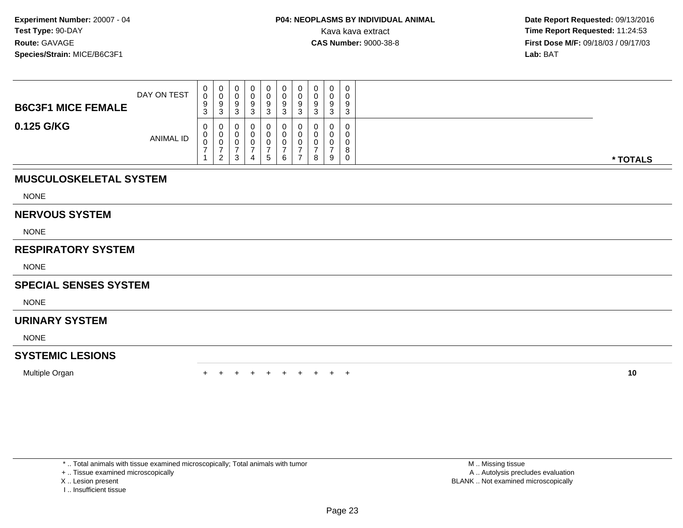| <b>B6C3F1 MICE FEMALE</b> | DAY ON TEST      | 0<br>$\mathbf{0}$<br>9<br>ົ<br><b>ن</b> | $\sim$ | U<br>د      | ົ | 0<br>9<br>3 | 0<br>0<br>9<br>ົ<br>ັ |   | 0<br>9<br>ີ | 0<br>0<br>9<br>-3                         |          |
|---------------------------|------------------|-----------------------------------------|--------|-------------|---|-------------|-----------------------|---|-------------|-------------------------------------------|----------|
| 0.125 G/KG                | <b>ANIMAL ID</b> | 0<br>0<br>0                             | າ      | ີ<br>v<br>د | 4 | 0<br>. ჯე   | 0<br>0<br>0<br>6      | 8 | 9           | 0<br>$\mathbf 0$<br>0<br>8<br>$\mathbf 0$ | * TOTALS |

# **MUSCULOSKELETAL SYSTEM**

NONE

#### **NERVOUS SYSTEM**

NONE

## **RESPIRATORY SYSTEM**

NONE

## **SPECIAL SENSES SYSTEM**

NONE

## **URINARY SYSTEM**

NONE

## **SYSTEMIC LESIONS**

Multiple Organn  $+$ 

<sup>+</sup> <sup>+</sup> <sup>+</sup> <sup>+</sup> <sup>+</sup> <sup>+</sup> <sup>+</sup> <sup>+</sup> <sup>+</sup> **<sup>10</sup>**

\* .. Total animals with tissue examined microscopically; Total animals with tumor

+ .. Tissue examined microscopically

- X .. Lesion present
- I .. Insufficient tissue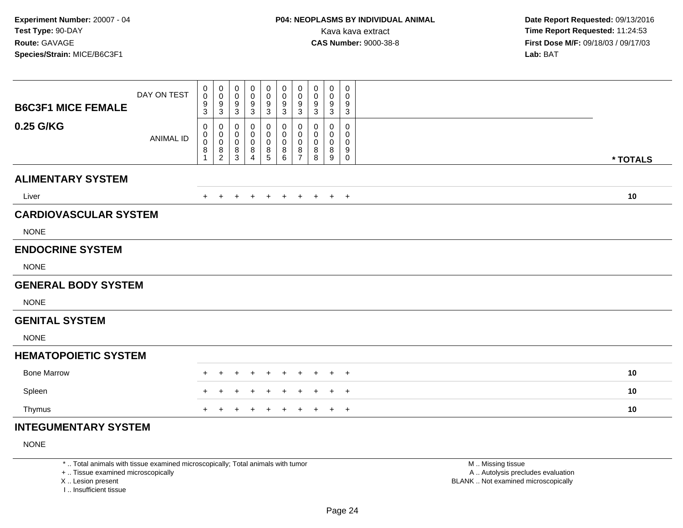| <b>B6C3F1 MICE FEMALE</b>    | DAY ON TEST      | 0<br>$\mathbf 0$<br>9 | $\pmb{0}$<br>$\mathbf 0$<br>$^9_3$               | 0<br>$\mathbf 0$<br>9            | 0<br>$\mathbf 0$<br>9    | 0<br>$\mathbf 0$<br>9 | 0<br>$\pmb{0}$<br>$\boldsymbol{9}$ | 0<br>$\mathbf 0$<br>9              | 0<br>0<br>9 | 0<br>0<br>9            | 0<br>0<br>9           |          |
|------------------------------|------------------|-----------------------|--------------------------------------------------|----------------------------------|--------------------------|-----------------------|------------------------------------|------------------------------------|-------------|------------------------|-----------------------|----------|
| 0.25 G/KG                    |                  | 3<br>0<br>0           | 0<br>$\pmb{0}$                                   | $\sqrt{3}$<br>0<br>0             | $\sqrt{3}$<br>0<br>0     | 3<br>0<br>0           | 3<br>0<br>0                        | 3<br>0<br>$\mathbf 0$              | 3<br>0<br>0 | $\mathbf{3}$<br>0<br>0 | 3<br>0<br>0           |          |
|                              | <b>ANIMAL ID</b> | $\boldsymbol{0}$<br>8 | $\ddot{\mathbf{0}}$<br>$\bf 8$<br>$\overline{2}$ | $\mathbf 0$<br>8<br>$\mathbf{3}$ | 0<br>8<br>$\overline{4}$ | $\pmb{0}$<br>8<br>5   | $\boldsymbol{0}$<br>8<br>6         | $\mathbf 0$<br>8<br>$\overline{7}$ | 0<br>8<br>8 | 0<br>8<br>9            | 0<br>9<br>$\mathbf 0$ | * TOTALS |
| <b>ALIMENTARY SYSTEM</b>     |                  |                       |                                                  |                                  |                          |                       |                                    |                                    |             |                        |                       |          |
| Liver                        |                  |                       |                                                  |                                  |                          |                       | $\pm$                              | $\pm$                              | $\pm$       | $+$                    | $+$                   | 10       |
| <b>CARDIOVASCULAR SYSTEM</b> |                  |                       |                                                  |                                  |                          |                       |                                    |                                    |             |                        |                       |          |
| <b>NONE</b>                  |                  |                       |                                                  |                                  |                          |                       |                                    |                                    |             |                        |                       |          |
| <b>ENDOCRINE SYSTEM</b>      |                  |                       |                                                  |                                  |                          |                       |                                    |                                    |             |                        |                       |          |
| <b>NONE</b>                  |                  |                       |                                                  |                                  |                          |                       |                                    |                                    |             |                        |                       |          |
| <b>GENERAL BODY SYSTEM</b>   |                  |                       |                                                  |                                  |                          |                       |                                    |                                    |             |                        |                       |          |
| <b>NONE</b>                  |                  |                       |                                                  |                                  |                          |                       |                                    |                                    |             |                        |                       |          |
| <b>GENITAL SYSTEM</b>        |                  |                       |                                                  |                                  |                          |                       |                                    |                                    |             |                        |                       |          |
| <b>NONE</b>                  |                  |                       |                                                  |                                  |                          |                       |                                    |                                    |             |                        |                       |          |
| <b>HEMATOPOIETIC SYSTEM</b>  |                  |                       |                                                  |                                  |                          |                       |                                    |                                    |             |                        |                       |          |
| <b>Bone Marrow</b>           |                  |                       |                                                  |                                  |                          |                       |                                    |                                    |             |                        | $^{+}$                | 10       |
| Spleen                       |                  |                       |                                                  |                                  |                          |                       |                                    |                                    |             |                        | $+$                   | 10       |
| Thymus                       |                  |                       |                                                  |                                  |                          |                       |                                    |                                    |             |                        | $+$                   | 10       |
| INITECHMENITA DV CVCTEM      |                  |                       |                                                  |                                  |                          |                       |                                    |                                    |             |                        |                       |          |

## **INTEGUMENTARY SYSTEM**

NONE

\* .. Total animals with tissue examined microscopically; Total animals with tumor

+ .. Tissue examined microscopically

X .. Lesion present

I .. Insufficient tissue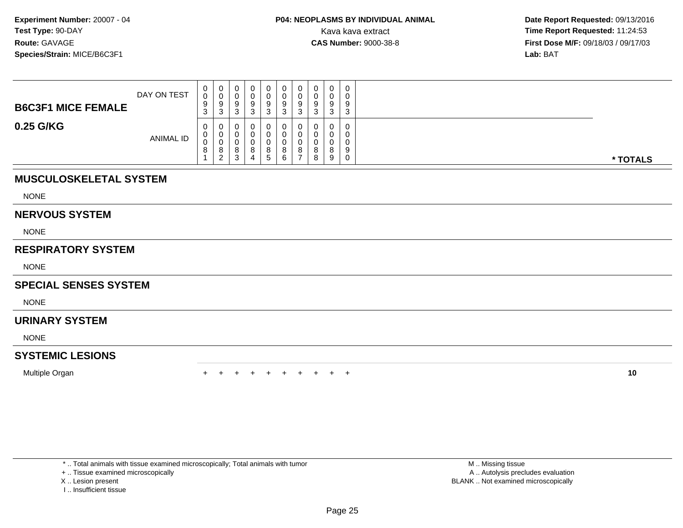| <b>B6C3F1 MICE FEMALE</b> | DAY ON TEST      | 0<br>0<br>9<br>$\sim$<br>J. | 0<br>U<br>9<br>-3      |  | 0<br>9<br>3 | 0<br>◡<br>$\Omega$<br>ູ<br>ົ<br>دت | 0<br>v<br>9<br>3 |   | 0<br>$\Omega$<br>3 | 0<br>0<br>9<br>3      |          |
|---------------------------|------------------|-----------------------------|------------------------|--|-------------|------------------------------------|------------------|---|--------------------|-----------------------|----------|
| 0.25 G/KG                 | <b>ANIMAL ID</b> | 0<br>0<br>0<br>୪            | 0<br>0<br>U<br>8<br>່າ |  | 8<br>5      | 8<br>6                             | v<br>U<br>v<br>8 | 8 | u<br>8<br>9        | 0<br>0<br>0<br>9<br>0 | * TOTALS |

# **MUSCULOSKELETAL SYSTEM**

NONE

#### **NERVOUS SYSTEM**

NONE

## **RESPIRATORY SYSTEM**

NONE

## **SPECIAL SENSES SYSTEM**

NONE

## **URINARY SYSTEM**

NONE

## **SYSTEMIC LESIONS**

Multiple Organn  $+$ 

<sup>+</sup> <sup>+</sup> <sup>+</sup> <sup>+</sup> <sup>+</sup> <sup>+</sup> <sup>+</sup> <sup>+</sup> <sup>+</sup> **<sup>10</sup>**

\* .. Total animals with tissue examined microscopically; Total animals with tumor

+ .. Tissue examined microscopically

- X .. Lesion present
- I .. Insufficient tissue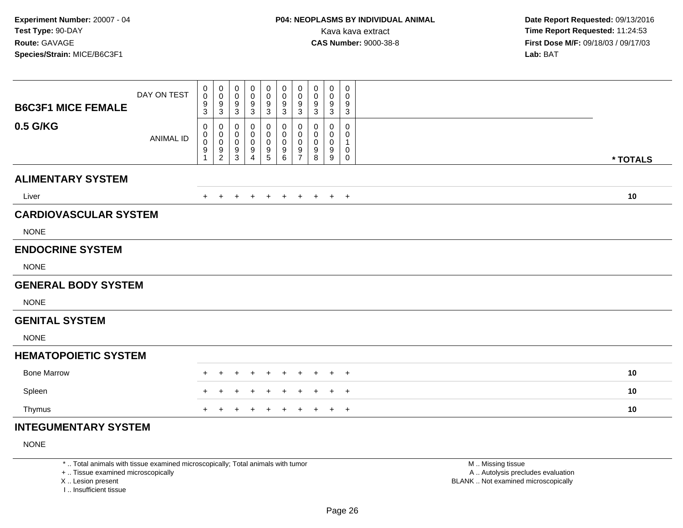| <b>B6C3F1 MICE FEMALE</b>    | DAY ON TEST      | 0<br>$\mathbf 0$<br>9                               | $\pmb{0}$<br>$\mathbf 0$<br>$^9_3$        | $\pmb{0}$<br>$\mathbf 0$<br>9                        | $\mathbf 0$<br>$\mathbf 0$<br>9 | 0<br>$\mathbf 0$<br>9    | $\pmb{0}$<br>$\pmb{0}$<br>$\boldsymbol{9}$               | $\pmb{0}$<br>$\boldsymbol{0}$<br>9                | 0<br>0<br>9      | 0<br>0<br>9      | 0<br>0<br>9      |          |
|------------------------------|------------------|-----------------------------------------------------|-------------------------------------------|------------------------------------------------------|---------------------------------|--------------------------|----------------------------------------------------------|---------------------------------------------------|------------------|------------------|------------------|----------|
| 0.5 G/KG                     |                  | 3<br>0                                              | 0                                         | $\sqrt{3}$<br>0                                      | $\mathbf{3}$<br>0               | 3<br>0                   | 3<br>0                                                   | 3<br>0                                            | 3<br>0           | 3<br>0           | 3<br>$\mathbf 0$ |          |
|                              | <b>ANIMAL ID</b> | $\mathbf 0$<br>$\boldsymbol{0}$<br>$\boldsymbol{9}$ | $\pmb{0}$<br>$\mathbf 0$<br>$\frac{9}{2}$ | 0<br>$\mathbf 0$<br>$\boldsymbol{9}$<br>$\mathbf{3}$ | 0<br>0<br>9<br>$\overline{4}$   | 0<br>$\pmb{0}$<br>9<br>5 | $\mathbf 0$<br>$\boldsymbol{0}$<br>$\boldsymbol{9}$<br>6 | $\mathbf 0$<br>$\mathbf 0$<br>9<br>$\overline{7}$ | 0<br>0<br>9<br>8 | 0<br>0<br>9<br>9 | 0<br>1<br>0<br>0 | * TOTALS |
| <b>ALIMENTARY SYSTEM</b>     |                  |                                                     |                                           |                                                      |                                 |                          |                                                          |                                                   |                  |                  |                  |          |
| Liver                        |                  |                                                     |                                           |                                                      |                                 |                          | $+$                                                      | $\pm$                                             | $\pm$            | $+$              | $+$              | 10       |
| <b>CARDIOVASCULAR SYSTEM</b> |                  |                                                     |                                           |                                                      |                                 |                          |                                                          |                                                   |                  |                  |                  |          |
| <b>NONE</b>                  |                  |                                                     |                                           |                                                      |                                 |                          |                                                          |                                                   |                  |                  |                  |          |
| <b>ENDOCRINE SYSTEM</b>      |                  |                                                     |                                           |                                                      |                                 |                          |                                                          |                                                   |                  |                  |                  |          |
| <b>NONE</b>                  |                  |                                                     |                                           |                                                      |                                 |                          |                                                          |                                                   |                  |                  |                  |          |
| <b>GENERAL BODY SYSTEM</b>   |                  |                                                     |                                           |                                                      |                                 |                          |                                                          |                                                   |                  |                  |                  |          |
| <b>NONE</b>                  |                  |                                                     |                                           |                                                      |                                 |                          |                                                          |                                                   |                  |                  |                  |          |
| <b>GENITAL SYSTEM</b>        |                  |                                                     |                                           |                                                      |                                 |                          |                                                          |                                                   |                  |                  |                  |          |
| <b>NONE</b>                  |                  |                                                     |                                           |                                                      |                                 |                          |                                                          |                                                   |                  |                  |                  |          |
| <b>HEMATOPOIETIC SYSTEM</b>  |                  |                                                     |                                           |                                                      |                                 |                          |                                                          |                                                   |                  |                  |                  |          |
| <b>Bone Marrow</b>           |                  |                                                     |                                           |                                                      |                                 |                          |                                                          |                                                   |                  |                  | $^{+}$           | 10       |
| Spleen                       |                  |                                                     |                                           |                                                      |                                 |                          |                                                          |                                                   |                  |                  | $^{+}$           | 10       |
| Thymus                       |                  |                                                     |                                           |                                                      |                                 |                          |                                                          |                                                   |                  |                  | $+$              | 10       |
| INITECHMENTADV CVCTEM        |                  |                                                     |                                           |                                                      |                                 |                          |                                                          |                                                   |                  |                  |                  |          |

## **INTEGUMENTARY SYSTEM**

NONE

\* .. Total animals with tissue examined microscopically; Total animals with tumor

+ .. Tissue examined microscopically

X .. Lesion present

I .. Insufficient tissue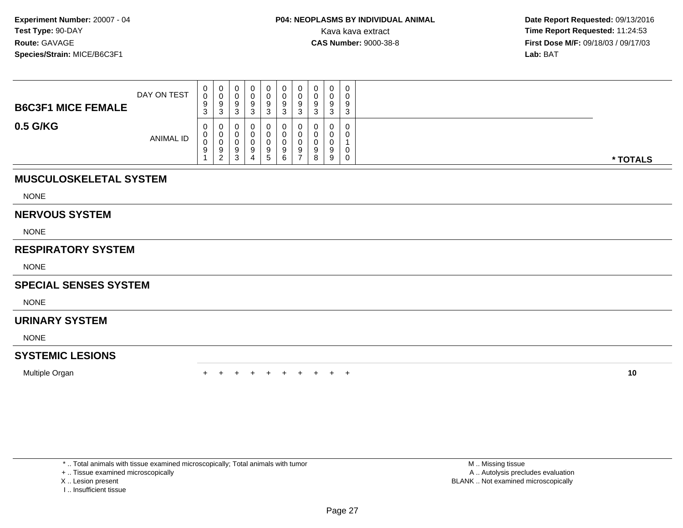| <b>B6C3F1 MICE FEMALE</b> | DAY ON TEST      | 0<br>0<br>9<br>ົ<br>ູບ | v<br>$\sim$<br>ູບ | ن |        | 0<br>Ü<br>9   | 0<br>a | $\Omega$<br>◡<br>$\sim$ |   | g      | $\mathbf 0$<br>0<br>9<br>3 |          |
|---------------------------|------------------|------------------------|-------------------|---|--------|---------------|--------|-------------------------|---|--------|----------------------------|----------|
| 0.5 G/KG                  | <b>ANIMAL ID</b> | 0<br>U<br>∩<br>U<br>9  | a<br>- 2          |   | u<br>4 | 9<br><u>5</u> | U<br>9 | a                       | 8 | a<br>9 | 0<br>0<br>0<br>0           | * TOTALS |

## **MUSCULOSKELETAL SYSTEM**

NONE

#### **NERVOUS SYSTEM**

NONE

## **RESPIRATORY SYSTEM**

NONE

## **SPECIAL SENSES SYSTEM**

NONE

## **URINARY SYSTEM**

NONE

## **SYSTEMIC LESIONS**

Multiple Organn  $+$ 

<sup>+</sup> <sup>+</sup> <sup>+</sup> <sup>+</sup> <sup>+</sup> <sup>+</sup> <sup>+</sup> <sup>+</sup> <sup>+</sup> **<sup>10</sup>**

\* .. Total animals with tissue examined microscopically; Total animals with tumor

+ .. Tissue examined microscopically

- X .. Lesion present
- I .. Insufficient tissue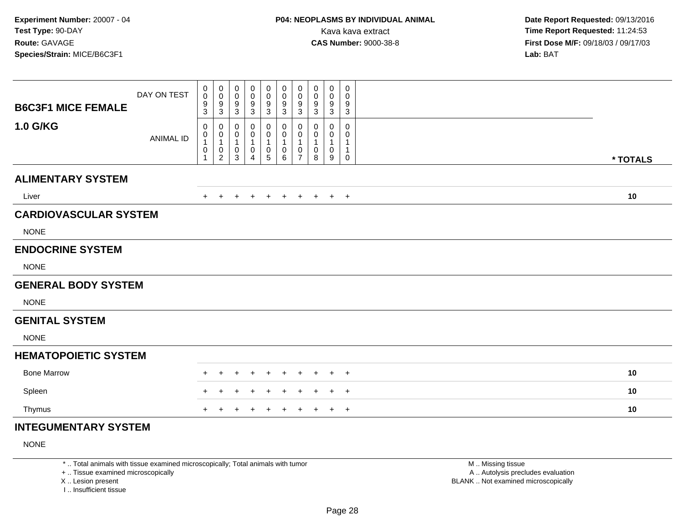| <b>B6C3F1 MICE FEMALE</b>    | DAY ON TEST      | 0<br>0<br>9<br>3                 | $\pmb{0}$<br>$\pmb{0}$<br>$\boldsymbol{9}$<br>$\mathfrak{S}$                  | $\pmb{0}$<br>$\pmb{0}$<br>9<br>$\mathbf{3}$ | $\mathbf 0$<br>$\mathbf 0$<br>9<br>$\mathbf{3}$ | $\pmb{0}$<br>$\mathbf 0$<br>9<br>3                          | $\pmb{0}$<br>$\pmb{0}$<br>$\boldsymbol{9}$<br>$\mathbf{3}$ | 0<br>$\mathbf 0$<br>9<br>$\sqrt{3}$           | 0<br>0<br>9<br>3      | $\pmb{0}$<br>0<br>9<br>$\mathbf{3}$ | 0<br>0<br>9<br>3 |          |    |
|------------------------------|------------------|----------------------------------|-------------------------------------------------------------------------------|---------------------------------------------|-------------------------------------------------|-------------------------------------------------------------|------------------------------------------------------------|-----------------------------------------------|-----------------------|-------------------------------------|------------------|----------|----|
| <b>1.0 G/KG</b>              | <b>ANIMAL ID</b> | 0<br>0<br>$\mathbf{1}$<br>0<br>1 | 0<br>$\begin{smallmatrix}0\1\end{smallmatrix}$<br>$\pmb{0}$<br>$\overline{2}$ | 0<br>0<br>$\mathbf{1}$<br>0<br>$\mathbf{3}$ | 0<br>0<br>$\mathbf{1}$<br>0<br>$\overline{4}$   | $\mathbf 0$<br>0<br>$\mathbf{1}$<br>$\pmb{0}$<br>$\sqrt{5}$ | 0<br>0<br>1<br>$\pmb{0}$<br>$6\phantom{1}$                 | 0<br>0<br>$\mathbf{1}$<br>0<br>$\overline{7}$ | 0<br>0<br>1<br>0<br>8 | 0<br>0<br>$\mathbf{1}$<br>0<br>9    | 0<br>0<br>1<br>0 | * TOTALS |    |
| <b>ALIMENTARY SYSTEM</b>     |                  |                                  |                                                                               |                                             |                                                 |                                                             |                                                            |                                               |                       |                                     |                  |          |    |
| Liver                        |                  |                                  |                                                                               |                                             |                                                 |                                                             | $\pm$                                                      | $\pm$                                         | $\pm$                 |                                     | $+$ $+$          | 10       |    |
| <b>CARDIOVASCULAR SYSTEM</b> |                  |                                  |                                                                               |                                             |                                                 |                                                             |                                                            |                                               |                       |                                     |                  |          |    |
| <b>NONE</b>                  |                  |                                  |                                                                               |                                             |                                                 |                                                             |                                                            |                                               |                       |                                     |                  |          |    |
| <b>ENDOCRINE SYSTEM</b>      |                  |                                  |                                                                               |                                             |                                                 |                                                             |                                                            |                                               |                       |                                     |                  |          |    |
| <b>NONE</b>                  |                  |                                  |                                                                               |                                             |                                                 |                                                             |                                                            |                                               |                       |                                     |                  |          |    |
| <b>GENERAL BODY SYSTEM</b>   |                  |                                  |                                                                               |                                             |                                                 |                                                             |                                                            |                                               |                       |                                     |                  |          |    |
| <b>NONE</b>                  |                  |                                  |                                                                               |                                             |                                                 |                                                             |                                                            |                                               |                       |                                     |                  |          |    |
| <b>GENITAL SYSTEM</b>        |                  |                                  |                                                                               |                                             |                                                 |                                                             |                                                            |                                               |                       |                                     |                  |          |    |
| <b>NONE</b>                  |                  |                                  |                                                                               |                                             |                                                 |                                                             |                                                            |                                               |                       |                                     |                  |          |    |
| <b>HEMATOPOIETIC SYSTEM</b>  |                  |                                  |                                                                               |                                             |                                                 |                                                             |                                                            |                                               |                       |                                     |                  |          |    |
| <b>Bone Marrow</b>           |                  |                                  |                                                                               |                                             |                                                 |                                                             |                                                            |                                               |                       |                                     | $^{+}$           | 10       |    |
| Spleen                       |                  |                                  |                                                                               |                                             |                                                 |                                                             |                                                            |                                               |                       |                                     | $+$              |          | 10 |
| Thymus                       |                  |                                  |                                                                               |                                             |                                                 |                                                             |                                                            |                                               |                       |                                     | $+$              |          | 10 |
| INITECHMENITA DV CVCTEM      |                  |                                  |                                                                               |                                             |                                                 |                                                             |                                                            |                                               |                       |                                     |                  |          |    |

## **INTEGUMENTARY SYSTEM**

NONE

\* .. Total animals with tissue examined microscopically; Total animals with tumor

+ .. Tissue examined microscopically

X .. Lesion present

I .. Insufficient tissue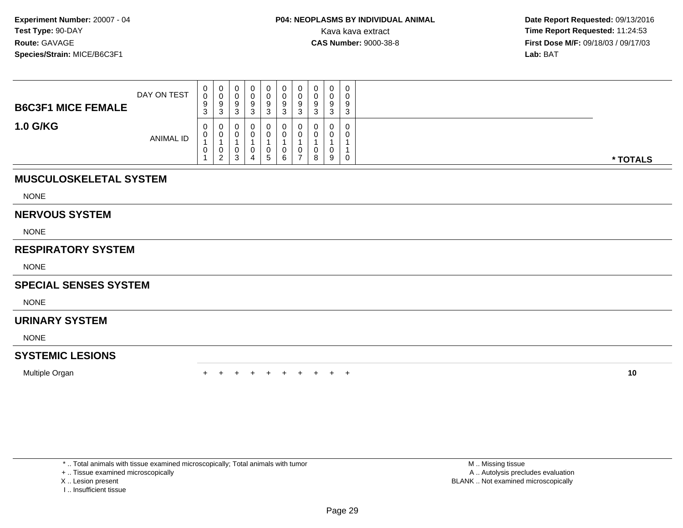| <b>B6C3F1 MICE FEMALE</b> | DAY ON TEST      | $\mathbf{0}$<br>0<br>9<br>ົ<br>J. | $\overline{0}$<br>9<br>ົ<br>ം | $\circ$ | 0<br>0<br>9<br>3 | 0<br>U<br>9<br>J | 0<br>U<br>9<br>ີ<br>- 0 |   | 0<br>a      | 0<br>0<br>9<br>3 |          |
|---------------------------|------------------|-----------------------------------|-------------------------------|---------|------------------|------------------|-------------------------|---|-------------|------------------|----------|
| <b>1.0 G/KG</b>           | <b>ANIMAL ID</b> | 0<br>U<br>U                       | U<br>v<br>U<br>ົ              |         | 0<br>0<br>U<br>5 | U<br>0<br>U<br>6 | 0<br>0<br>0<br>-        | Ω | 0<br>0<br>9 | 0<br>0<br>0      | * TOTALS |

## **MUSCULOSKELETAL SYSTEM**

NONE

#### **NERVOUS SYSTEM**

NONE

## **RESPIRATORY SYSTEM**

NONE

## **SPECIAL SENSES SYSTEM**

NONE

## **URINARY SYSTEM**

NONE

## **SYSTEMIC LESIONS**

Multiple Organn  $+$ 

<sup>+</sup> <sup>+</sup> <sup>+</sup> <sup>+</sup> <sup>+</sup> <sup>+</sup> <sup>+</sup> <sup>+</sup> <sup>+</sup> **<sup>10</sup>**

\* .. Total animals with tissue examined microscopically; Total animals with tumor

+ .. Tissue examined microscopically

- X .. Lesion present
- I .. Insufficient tissue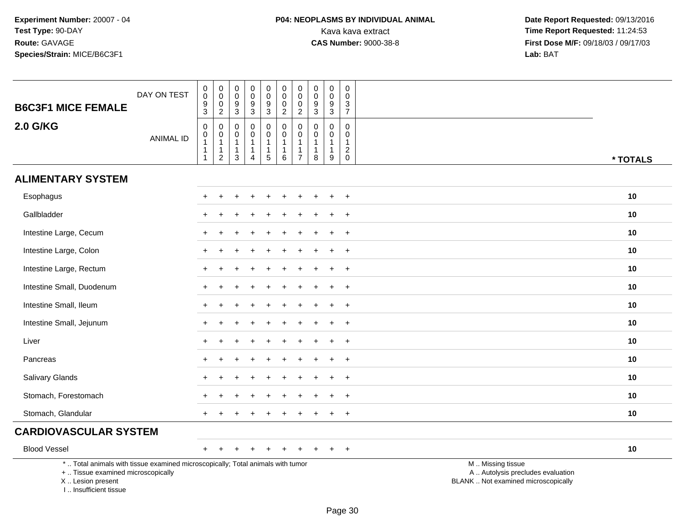| <b>B6C3F1 MICE FEMALE</b>                                                                                                                                            | DAY ON TEST      | $\mathbf 0$<br>$\bar{0}$<br>$\frac{9}{3}$ | $_{\rm 0}^{\rm 0}$<br>$\mathsf{O}\xspace$<br>$\overline{2}$ | $\pmb{0}$<br>$\,0\,$<br>9<br>$\mathsf 3$                          | 0<br>$\pmb{0}$<br>9<br>$\sqrt{3}$                                            | $\mathsf{O}\xspace$<br>$\overline{0}$<br>9<br>$\overline{3}$             | $\begin{smallmatrix} 0\\0 \end{smallmatrix}$<br>$\mathbf 0$<br>$\overline{2}$ | $\pmb{0}$<br>$\overline{0}$<br>$\mathbf 0$<br>$\overline{2}$                 | $\boldsymbol{0}$<br>$\mathbf 0$<br>9<br>$\sqrt{3}$              | $\pmb{0}$<br>$\pmb{0}$<br>9<br>$\overline{3}$                     | 0<br>$\mathbf 0$<br>3<br>$\overline{7}$                |                                                                                               |
|----------------------------------------------------------------------------------------------------------------------------------------------------------------------|------------------|-------------------------------------------|-------------------------------------------------------------|-------------------------------------------------------------------|------------------------------------------------------------------------------|--------------------------------------------------------------------------|-------------------------------------------------------------------------------|------------------------------------------------------------------------------|-----------------------------------------------------------------|-------------------------------------------------------------------|--------------------------------------------------------|-----------------------------------------------------------------------------------------------|
| <b>2.0 G/KG</b>                                                                                                                                                      | <b>ANIMAL ID</b> | 0<br>$\mathbf 0$<br>1<br>$\mathbf{1}$     | $\pmb{0}$<br>$\overline{0}$<br>1<br>$\frac{1}{2}$           | $\mathbf 0$<br>$\mathbf 0$<br>$\mathbf{1}$<br>$\overline{1}$<br>3 | $\mathbf 0$<br>$\mathbf 0$<br>$\mathbf{1}$<br>$\mathbf{1}$<br>$\overline{4}$ | $\mathsf{O}$<br>$\mathsf{O}\xspace$<br>$\mathbf{1}$<br>$\mathbf{1}$<br>5 | $\pmb{0}$<br>$\mathbf 0$<br>$\mathbf{1}$<br>$\mathbf{1}$<br>6                 | $\pmb{0}$<br>$\pmb{0}$<br>$\overline{1}$<br>$\overline{1}$<br>$\overline{7}$ | $\mathbf 0$<br>$\mathbf 0$<br>$\mathbf{1}$<br>$\mathbf{1}$<br>8 | $\mathbf 0$<br>$\mathbf 0$<br>$\overline{1}$<br>$\mathbf{1}$<br>9 | $\mathbf 0$<br>0<br>1<br>$\overline{c}$<br>$\mathbf 0$ | * TOTALS                                                                                      |
| <b>ALIMENTARY SYSTEM</b>                                                                                                                                             |                  |                                           |                                                             |                                                                   |                                                                              |                                                                          |                                                                               |                                                                              |                                                                 |                                                                   |                                                        |                                                                                               |
| Esophagus                                                                                                                                                            |                  |                                           |                                                             |                                                                   |                                                                              |                                                                          |                                                                               |                                                                              |                                                                 |                                                                   | $\ddot{}$                                              | 10                                                                                            |
| Gallbladder                                                                                                                                                          |                  |                                           |                                                             |                                                                   |                                                                              |                                                                          |                                                                               |                                                                              |                                                                 |                                                                   | $\overline{1}$                                         | 10                                                                                            |
| Intestine Large, Cecum                                                                                                                                               |                  |                                           |                                                             |                                                                   |                                                                              |                                                                          |                                                                               |                                                                              |                                                                 |                                                                   | $\overline{1}$                                         | 10                                                                                            |
| Intestine Large, Colon                                                                                                                                               |                  |                                           |                                                             |                                                                   |                                                                              |                                                                          |                                                                               |                                                                              |                                                                 |                                                                   | $^{+}$                                                 | 10                                                                                            |
| Intestine Large, Rectum                                                                                                                                              |                  |                                           |                                                             |                                                                   |                                                                              |                                                                          |                                                                               |                                                                              |                                                                 |                                                                   | $\overline{1}$                                         | 10                                                                                            |
| Intestine Small, Duodenum                                                                                                                                            |                  |                                           |                                                             |                                                                   |                                                                              |                                                                          |                                                                               |                                                                              |                                                                 |                                                                   | $\ddot{}$                                              | 10                                                                                            |
| Intestine Small, Ileum                                                                                                                                               |                  | ÷                                         |                                                             |                                                                   |                                                                              |                                                                          |                                                                               |                                                                              |                                                                 |                                                                   | $+$                                                    | 10                                                                                            |
| Intestine Small, Jejunum                                                                                                                                             |                  |                                           |                                                             |                                                                   |                                                                              |                                                                          |                                                                               |                                                                              |                                                                 |                                                                   | $\overline{+}$                                         | 10                                                                                            |
| Liver                                                                                                                                                                |                  |                                           |                                                             |                                                                   |                                                                              |                                                                          |                                                                               |                                                                              |                                                                 |                                                                   | $\overline{1}$                                         | 10                                                                                            |
| Pancreas                                                                                                                                                             |                  |                                           |                                                             |                                                                   |                                                                              |                                                                          |                                                                               |                                                                              |                                                                 |                                                                   | $+$                                                    | 10                                                                                            |
| Salivary Glands                                                                                                                                                      |                  |                                           |                                                             |                                                                   |                                                                              |                                                                          |                                                                               |                                                                              |                                                                 |                                                                   | $\ddot{}$                                              | 10                                                                                            |
| Stomach, Forestomach                                                                                                                                                 |                  |                                           |                                                             |                                                                   |                                                                              |                                                                          |                                                                               |                                                                              |                                                                 |                                                                   |                                                        | 10                                                                                            |
| Stomach, Glandular                                                                                                                                                   |                  |                                           |                                                             |                                                                   |                                                                              |                                                                          |                                                                               |                                                                              |                                                                 |                                                                   | $\overline{+}$                                         | 10                                                                                            |
| <b>CARDIOVASCULAR SYSTEM</b>                                                                                                                                         |                  |                                           |                                                             |                                                                   |                                                                              |                                                                          |                                                                               |                                                                              |                                                                 |                                                                   |                                                        |                                                                                               |
| <b>Blood Vessel</b>                                                                                                                                                  |                  | $+$                                       | $\div$                                                      | +                                                                 |                                                                              | $\ddot{}$                                                                | $\ddot{}$                                                                     | $\div$                                                                       | $\pm$                                                           | $\ddot{}$                                                         | $+$                                                    | 10                                                                                            |
| *  Total animals with tissue examined microscopically; Total animals with tumor<br>+  Tissue examined microscopically<br>X  Lesion present<br>I  Insufficient tissue |                  |                                           |                                                             |                                                                   |                                                                              |                                                                          |                                                                               |                                                                              |                                                                 |                                                                   |                                                        | M  Missing tissue<br>A  Autolysis precludes evaluation<br>BLANK  Not examined microscopically |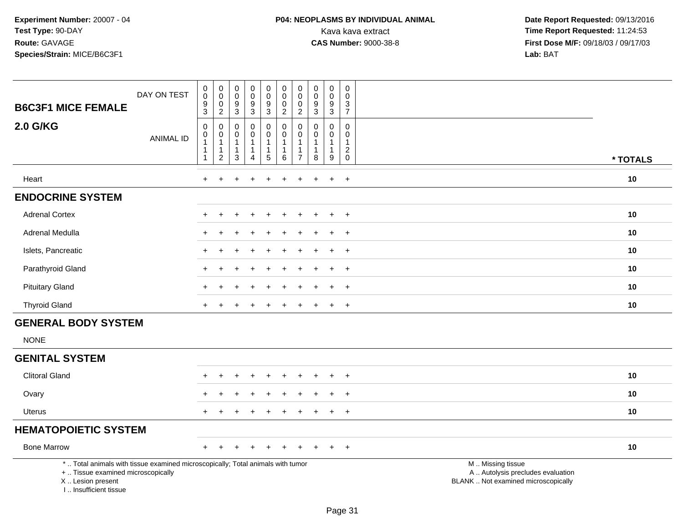# **P04: NEOPLASMS BY INDIVIDUAL ANIMAL**Kava kava extract **Time Report Requested:** 11:24:53<br>**CAS Number:** 9000-38-8 **Time Report Requested:** 11:24:53

 **Date Report Requested:** 09/13/2016 **First Dose M/F:** 09/18/03 / 09/17/03<br>Lab: BAT **Lab:** BAT

|                                                                                                                                                                     | DAY ON TEST      | $\begin{smallmatrix}0\0\0\end{smallmatrix}$<br>$\boldsymbol{9}$ | $\begin{smallmatrix} 0\\0 \end{smallmatrix}$                     | $\pmb{0}$<br>$\mathbf 0$                          | $_{\rm 0}^{\rm 0}$                                     | $\mathbf 0$<br>$\overline{0}$         | $\pmb{0}$<br>$\ddot{\mathbf{0}}$                | $\mathbf 0$<br>$\ddot{\mathbf{0}}$ | $\mathsf 0$<br>$\ddot{\mathbf{0}}$               | $\begin{smallmatrix} 0\\0 \end{smallmatrix}$             | $\mathbf 0$<br>$\mathbf 0$                               |                                                                                               |          |
|---------------------------------------------------------------------------------------------------------------------------------------------------------------------|------------------|-----------------------------------------------------------------|------------------------------------------------------------------|---------------------------------------------------|--------------------------------------------------------|---------------------------------------|-------------------------------------------------|------------------------------------|--------------------------------------------------|----------------------------------------------------------|----------------------------------------------------------|-----------------------------------------------------------------------------------------------|----------|
| <b>B6C3F1 MICE FEMALE</b>                                                                                                                                           |                  | $\overline{3}$                                                  | $\pmb{0}$<br>$\overline{2}$                                      | $\boldsymbol{9}$<br>$\overline{3}$                | $\frac{9}{3}$                                          | $\boldsymbol{9}$<br>$\overline{3}$    | $\mathbf 0$<br>$\overline{2}$                   | 0<br>$\overline{2}$                | $\frac{9}{3}$                                    | $\frac{9}{3}$                                            | $\frac{3}{7}$                                            |                                                                                               |          |
| 2.0 G/KG                                                                                                                                                            | <b>ANIMAL ID</b> | $\pmb{0}$<br>$\pmb{0}$<br>$\mathbf{1}$<br>$\mathbf{1}$          | $\mathsf{O}\xspace$<br>$\pmb{0}$<br>$\mathbf{1}$<br>$\mathbf{1}$ | $\mathbf 0$<br>0<br>$\overline{1}$<br>$\mathbf 1$ | $\pmb{0}$<br>$\pmb{0}$<br>$\mathbf{1}$<br>$\mathbf{1}$ | 0<br>$\mathsf 0$<br>$\mathbf{1}$<br>1 | $\mathbf 0$<br>$\mathbf 0$<br>1<br>$\mathbf{1}$ | 0<br>0<br>$\mathbf{1}$<br>1        | $\mathbf 0$<br>0<br>$\mathbf{1}$<br>$\mathbf{1}$ | $\pmb{0}$<br>$\mathbf 0$<br>$\mathbf{1}$<br>$\mathbf{1}$ | $\mathbf 0$<br>$\mathbf 0$<br>$\mathbf{1}$<br>$\sqrt{2}$ |                                                                                               |          |
|                                                                                                                                                                     |                  | $\mathbf{1}$                                                    | $\overline{2}$                                                   | $\mathbf{3}$                                      | $\overline{4}$                                         | $\sqrt{5}$                            | 6                                               | $\overline{7}$                     | 8                                                | 9                                                        | $\mathbf 0$                                              |                                                                                               | * TOTALS |
| Heart                                                                                                                                                               |                  | $+$                                                             | $\ddot{}$                                                        |                                                   |                                                        | $\div$                                | ÷                                               | $\div$                             | $\div$                                           | $\ddot{}$                                                | $+$                                                      |                                                                                               | 10       |
| <b>ENDOCRINE SYSTEM</b>                                                                                                                                             |                  |                                                                 |                                                                  |                                                   |                                                        |                                       |                                                 |                                    |                                                  |                                                          |                                                          |                                                                                               |          |
| <b>Adrenal Cortex</b>                                                                                                                                               |                  |                                                                 |                                                                  |                                                   |                                                        |                                       |                                                 |                                    |                                                  |                                                          | $\ddot{}$                                                |                                                                                               | 10       |
| Adrenal Medulla                                                                                                                                                     |                  |                                                                 |                                                                  |                                                   |                                                        |                                       |                                                 |                                    |                                                  |                                                          | $\ddot{}$                                                |                                                                                               | 10       |
| Islets, Pancreatic                                                                                                                                                  |                  |                                                                 |                                                                  |                                                   |                                                        |                                       |                                                 |                                    |                                                  | $\overline{ }$                                           | $+$                                                      |                                                                                               | 10       |
| Parathyroid Gland                                                                                                                                                   |                  |                                                                 |                                                                  |                                                   |                                                        |                                       |                                                 |                                    |                                                  |                                                          | $+$                                                      |                                                                                               | 10       |
| <b>Pituitary Gland</b>                                                                                                                                              |                  |                                                                 |                                                                  |                                                   |                                                        |                                       |                                                 |                                    |                                                  |                                                          | $\ddot{}$                                                |                                                                                               | 10       |
| <b>Thyroid Gland</b>                                                                                                                                                |                  | $+$                                                             |                                                                  |                                                   |                                                        |                                       |                                                 |                                    |                                                  | $\div$                                                   | $+$                                                      |                                                                                               | 10       |
| <b>GENERAL BODY SYSTEM</b>                                                                                                                                          |                  |                                                                 |                                                                  |                                                   |                                                        |                                       |                                                 |                                    |                                                  |                                                          |                                                          |                                                                                               |          |
| <b>NONE</b>                                                                                                                                                         |                  |                                                                 |                                                                  |                                                   |                                                        |                                       |                                                 |                                    |                                                  |                                                          |                                                          |                                                                                               |          |
| <b>GENITAL SYSTEM</b>                                                                                                                                               |                  |                                                                 |                                                                  |                                                   |                                                        |                                       |                                                 |                                    |                                                  |                                                          |                                                          |                                                                                               |          |
| <b>Clitoral Gland</b>                                                                                                                                               |                  |                                                                 |                                                                  |                                                   |                                                        |                                       |                                                 |                                    |                                                  |                                                          | $\ddot{}$                                                |                                                                                               | 10       |
| Ovary                                                                                                                                                               |                  |                                                                 |                                                                  |                                                   |                                                        |                                       |                                                 |                                    |                                                  |                                                          |                                                          |                                                                                               | 10       |
| Uterus                                                                                                                                                              |                  | $+$                                                             | $\ddot{}$                                                        |                                                   |                                                        |                                       |                                                 |                                    |                                                  | $\div$                                                   | $\overline{+}$                                           |                                                                                               | 10       |
| <b>HEMATOPOIETIC SYSTEM</b>                                                                                                                                         |                  |                                                                 |                                                                  |                                                   |                                                        |                                       |                                                 |                                    |                                                  |                                                          |                                                          |                                                                                               |          |
| <b>Bone Marrow</b>                                                                                                                                                  |                  | $+$                                                             |                                                                  |                                                   |                                                        |                                       |                                                 |                                    |                                                  | $\ddot{}$                                                | $+$                                                      |                                                                                               | 10       |
| *  Total animals with tissue examined microscopically; Total animals with tumor<br>+  Tissue examined microscopically<br>X  Lesion present<br>I Insufficient tissue |                  |                                                                 |                                                                  |                                                   |                                                        |                                       |                                                 |                                    |                                                  |                                                          |                                                          | M  Missing tissue<br>A  Autolysis precludes evaluation<br>BLANK  Not examined microscopically |          |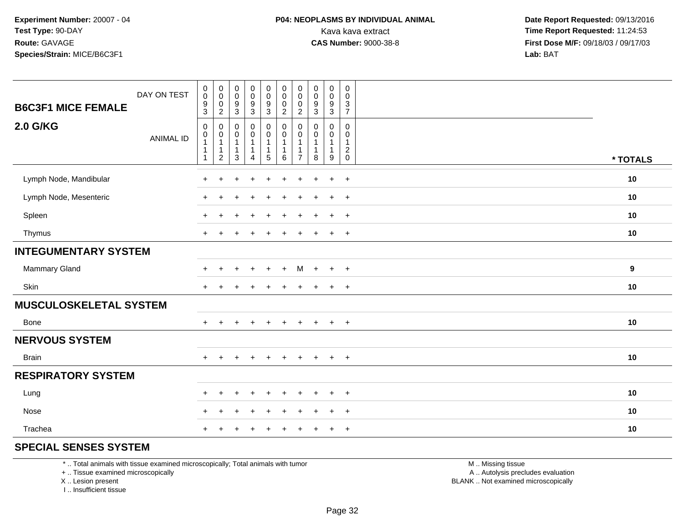| DAY ON TEST<br><b>B6C3F1 MICE FEMALE</b> | $\pmb{0}$<br>$\pmb{0}$<br>$\frac{9}{3}$                                                | $\overline{0}$<br>$\mathbf 0$<br>$\mathbf 0$<br>$\overline{2}$   | $_{\rm 0}^{\rm 0}$<br>$\frac{9}{3}$                           | $\begin{array}{c} 0 \\ 0 \\ 9 \\ 3 \end{array}$                          | 0<br>$\pmb{0}$<br>$\frac{9}{3}$                          | $_{\rm 0}^{\rm 0}$<br>$\mathbf 0$<br>$\overline{2}$               | $\mathbf 0$<br>$\pmb{0}$<br>$\mathbf 0$<br>$\overline{2}$ | $\pmb{0}$<br>$\pmb{0}$<br>$\boldsymbol{9}$<br>$\ensuremath{\mathsf{3}}$ | $\begin{smallmatrix}0\0\0\end{smallmatrix}$<br>$\frac{9}{3}$   | 0<br>0<br>$\frac{3}{7}$                                        |          |
|------------------------------------------|----------------------------------------------------------------------------------------|------------------------------------------------------------------|---------------------------------------------------------------|--------------------------------------------------------------------------|----------------------------------------------------------|-------------------------------------------------------------------|-----------------------------------------------------------|-------------------------------------------------------------------------|----------------------------------------------------------------|----------------------------------------------------------------|----------|
| <b>2.0 G/KG</b><br><b>ANIMAL ID</b>      | $\mathsf{O}\xspace$<br>$\pmb{0}$<br>$\overline{1}$<br>$\overline{1}$<br>$\overline{1}$ | 0<br>$\pmb{0}$<br>$\mathbf{1}$<br>$\mathbf{1}$<br>$\overline{c}$ | $\mathbf 0$<br>$\pmb{0}$<br>$\mathbf{1}$<br>$\mathbf{1}$<br>3 | $\pmb{0}$<br>$\pmb{0}$<br>$\mathbf{1}$<br>$\mathbf{1}$<br>$\overline{4}$ | 0<br>0<br>$\mathbf{1}$<br>$\mathbf{1}$<br>$\overline{5}$ | $\mathbf 0$<br>$\pmb{0}$<br>$\overline{1}$<br>$\overline{1}$<br>6 | 0<br>0<br>$\mathbf{1}$<br>1<br>$\overline{7}$             | $\mathbf 0$<br>$\pmb{0}$<br>$\mathbf{1}$<br>$\mathbf{1}$<br>8           | $\mathbf{0}$<br>$\pmb{0}$<br>$\mathbf{1}$<br>$\mathbf{1}$<br>9 | $\Omega$<br>0<br>$\mathbf{1}$<br>$\overline{c}$<br>$\mathbf 0$ | * TOTALS |
| Lymph Node, Mandibular                   | +                                                                                      | ÷                                                                |                                                               | $\div$                                                                   | $\div$                                                   | $\ddot{}$                                                         | $\ddot{}$                                                 | $\div$                                                                  | $\overline{+}$                                                 | $\overline{+}$                                                 | 10       |
| Lymph Node, Mesenteric                   | ÷                                                                                      |                                                                  |                                                               | $\div$                                                                   | ÷                                                        | $\ddot{}$                                                         | $\ddot{}$                                                 |                                                                         | $\ddot{}$                                                      | $+$                                                            | 10       |
| Spleen                                   | $+$                                                                                    | ÷                                                                |                                                               | $\ddot{}$                                                                | $\ddot{}$                                                | $\ddot{}$                                                         | $\ddot{}$                                                 |                                                                         | $+$                                                            | $+$                                                            | 10       |
| Thymus                                   | $+$                                                                                    |                                                                  |                                                               | $\ddot{}$                                                                | $\ddot{}$                                                | $\ddot{}$                                                         | $\div$                                                    |                                                                         | $+$                                                            | $+$                                                            | 10       |
| <b>INTEGUMENTARY SYSTEM</b>              |                                                                                        |                                                                  |                                                               |                                                                          |                                                          |                                                                   |                                                           |                                                                         |                                                                |                                                                |          |
| Mammary Gland                            | $+$                                                                                    | $\ddot{}$                                                        |                                                               | $\ddot{}$                                                                | $\ddot{}$                                                | $+$                                                               | M                                                         | $+$                                                                     | $+$                                                            | $+$                                                            | 9        |
| Skin                                     | $+$                                                                                    | $\div$                                                           |                                                               |                                                                          |                                                          |                                                                   |                                                           |                                                                         | $+$                                                            | $+$                                                            | 10       |
| <b>MUSCULOSKELETAL SYSTEM</b>            |                                                                                        |                                                                  |                                                               |                                                                          |                                                          |                                                                   |                                                           |                                                                         |                                                                |                                                                |          |
| <b>Bone</b>                              | $\div$                                                                                 |                                                                  |                                                               | $\div$                                                                   | $\div$                                                   |                                                                   |                                                           |                                                                         | $\overline{+}$                                                 | $+$                                                            | 10       |
| <b>NERVOUS SYSTEM</b>                    |                                                                                        |                                                                  |                                                               |                                                                          |                                                          |                                                                   |                                                           |                                                                         |                                                                |                                                                |          |
| <b>Brain</b>                             | $+$                                                                                    | $\ddot{}$                                                        | $+$                                                           | $+$                                                                      | $+$                                                      | $+$                                                               | $\ddot{}$                                                 | $+$                                                                     | $+$                                                            | $+$                                                            | 10       |
| <b>RESPIRATORY SYSTEM</b>                |                                                                                        |                                                                  |                                                               |                                                                          |                                                          |                                                                   |                                                           |                                                                         |                                                                |                                                                |          |
| Lung                                     | $+$                                                                                    | $\ddot{}$                                                        |                                                               | $\ddot{}$                                                                | $\ddot{}$                                                | $\div$                                                            | $\div$                                                    |                                                                         | $\overline{+}$                                                 | $+$                                                            | 10       |
| Nose                                     | $\ddot{}$                                                                              | $\ddot{}$                                                        |                                                               | $\ddot{}$                                                                | $\div$                                                   | $\ddot{}$                                                         |                                                           |                                                                         | $+$                                                            | $+$                                                            | 10       |
| Trachea                                  | ÷                                                                                      |                                                                  |                                                               |                                                                          |                                                          |                                                                   |                                                           |                                                                         | $\ddot{}$                                                      | $+$                                                            | 10       |

## **SPECIAL SENSES SYSTEM**

\* .. Total animals with tissue examined microscopically; Total animals with tumor

+ .. Tissue examined microscopically

X .. Lesion present

I .. Insufficient tissue